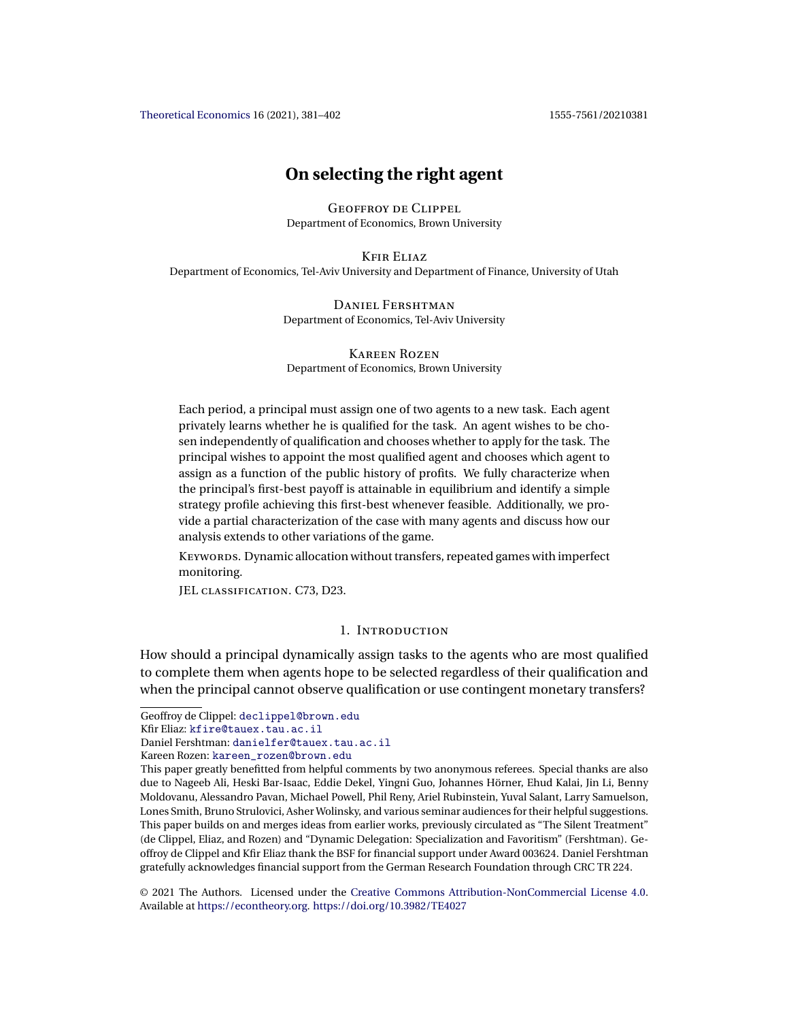<span id="page-0-0"></span>[Theoretical Economics](https://econtheory.org/) 16 (2021), 381–402 1555-7561/20210381

# **On selecting the right agent**

Geoffroy de Clippel Department of Economics, Brown University

Kfir Eliaz

Department of Economics, Tel-Aviv University and Department of Finance, University of Utah

Daniel Fershtman Department of Economics, Tel-Aviv University

Kareen Rozen Department of Economics, Brown University

Each period, a principal must assign one of two agents to a new task. Each agent privately learns whether he is qualified for the task. An agent wishes to be chosen independently of qualification and chooses whether to apply for the task. The principal wishes to appoint the most qualified agent and chooses which agent to assign as a function of the public history of profits. We fully characterize when the principal's first-best payoff is attainable in equilibrium and identify a simple strategy profile achieving this first-best whenever feasible. Additionally, we provide a partial characterization of the case with many agents and discuss how our analysis extends to other variations of the game.

KEYWORDS. Dynamic allocation without transfers, repeated games with imperfect monitoring.

JEL classification. C73, D23.

# 1. Introduction

How should a principal dynamically assign tasks to the agents who are most qualified to complete them when agents hope to be selected regardless of their qualification and when the principal cannot observe qualification or use contingent monetary transfers?

Kareen Rozen: [kareen\\_rozen@brown.edu](mailto:kareen_rozen@brown.edu)

Geoffroy de Clippel: [declippel@brown.edu](mailto:declippel@brown.edu)

Kfir Eliaz: [kfire@tauex.tau.ac.il](mailto:kfire@tauex.tau.ac.il)

Daniel Fershtman: [danielfer@tauex.tau.ac.il](mailto:danielfer@tauex.tau.ac.il)

This paper greatly benefitted from helpful comments by two anonymous referees. Special thanks are also due to Nageeb Ali, Heski Bar-Isaac, Eddie Dekel, Yingni Guo, Johannes Hörner, Ehud Kalai, Jin Li, Benny Moldovanu, Alessandro Pavan, Michael Powell, Phil Reny, Ariel Rubinstein, Yuval Salant, Larry Samuelson, Lones Smith, Bruno Strulovici, Asher Wolinsky, and various seminar audiences for their helpful suggestions. This paper builds on and merges ideas from earlier works, previously circulated as "The Silent Treatment" (de Clippel, Eliaz, and Rozen) and "Dynamic Delegation: Specialization and Favoritism" (Fershtman). Geoffroy de Clippel and Kfir Eliaz thank the BSF for financial support under Award 003624. Daniel Fershtman gratefully acknowledges financial support from the German Research Foundation through CRC TR 224.

<sup>©</sup> 2021 The Authors. Licensed under the [Creative Commons Attribution-NonCommercial License 4.0](https://creativecommons.org/licenses/by-nc/4.0/legalcode). Available at <https://econtheory.org>. <https://doi.org/10.3982/TE4027>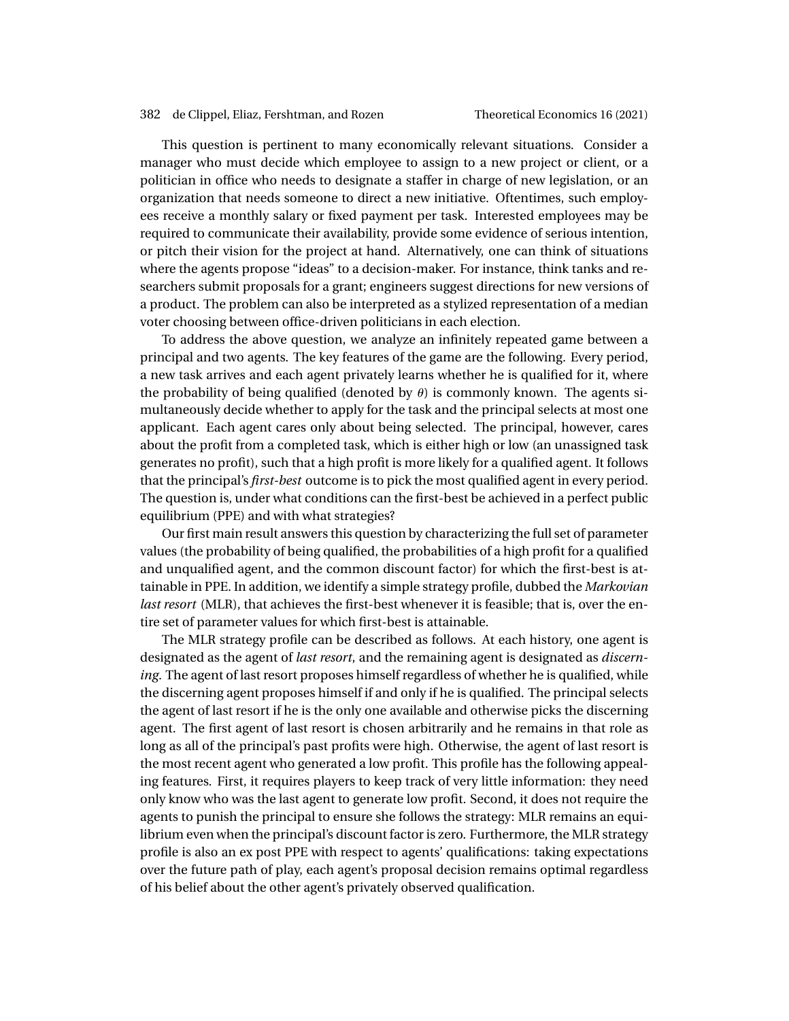This question is pertinent to many economically relevant situations. Consider a manager who must decide which employee to assign to a new project or client, or a politician in office who needs to designate a staffer in charge of new legislation, or an organization that needs someone to direct a new initiative. Oftentimes, such employees receive a monthly salary or fixed payment per task. Interested employees may be required to communicate their availability, provide some evidence of serious intention, or pitch their vision for the project at hand. Alternatively, one can think of situations where the agents propose "ideas" to a decision-maker. For instance, think tanks and researchers submit proposals for a grant; engineers suggest directions for new versions of a product. The problem can also be interpreted as a stylized representation of a median voter choosing between office-driven politicians in each election.

To address the above question, we analyze an infinitely repeated game between a principal and two agents. The key features of the game are the following. Every period, a new task arrives and each agent privately learns whether he is qualified for it, where the probability of being qualified (denoted by  $\theta$ ) is commonly known. The agents simultaneously decide whether to apply for the task and the principal selects at most one applicant. Each agent cares only about being selected. The principal, however, cares about the profit from a completed task, which is either high or low (an unassigned task generates no profit), such that a high profit is more likely for a qualified agent. It follows that the principal's *first-best* outcome is to pick the most qualified agent in every period. The question is, under what conditions can the first-best be achieved in a perfect public equilibrium (PPE) and with what strategies?

Our first main result answers this question by characterizing the full set of parameter values (the probability of being qualified, the probabilities of a high profit for a qualified and unqualified agent, and the common discount factor) for which the first-best is attainable in PPE. In addition, we identify a simple strategy profile, dubbed the *Markovian last resort* (MLR), that achieves the first-best whenever it is feasible; that is, over the entire set of parameter values for which first-best is attainable.

The MLR strategy profile can be described as follows. At each history, one agent is designated as the agent of *last resort*, and the remaining agent is designated as *discerning*. The agent of last resort proposes himself regardless of whether he is qualified, while the discerning agent proposes himself if and only if he is qualified. The principal selects the agent of last resort if he is the only one available and otherwise picks the discerning agent. The first agent of last resort is chosen arbitrarily and he remains in that role as long as all of the principal's past profits were high. Otherwise, the agent of last resort is the most recent agent who generated a low profit. This profile has the following appealing features. First, it requires players to keep track of very little information: they need only know who was the last agent to generate low profit. Second, it does not require the agents to punish the principal to ensure she follows the strategy: MLR remains an equilibrium even when the principal's discount factor is zero. Furthermore, the MLR strategy profile is also an ex post PPE with respect to agents' qualifications: taking expectations over the future path of play, each agent's proposal decision remains optimal regardless of his belief about the other agent's privately observed qualification.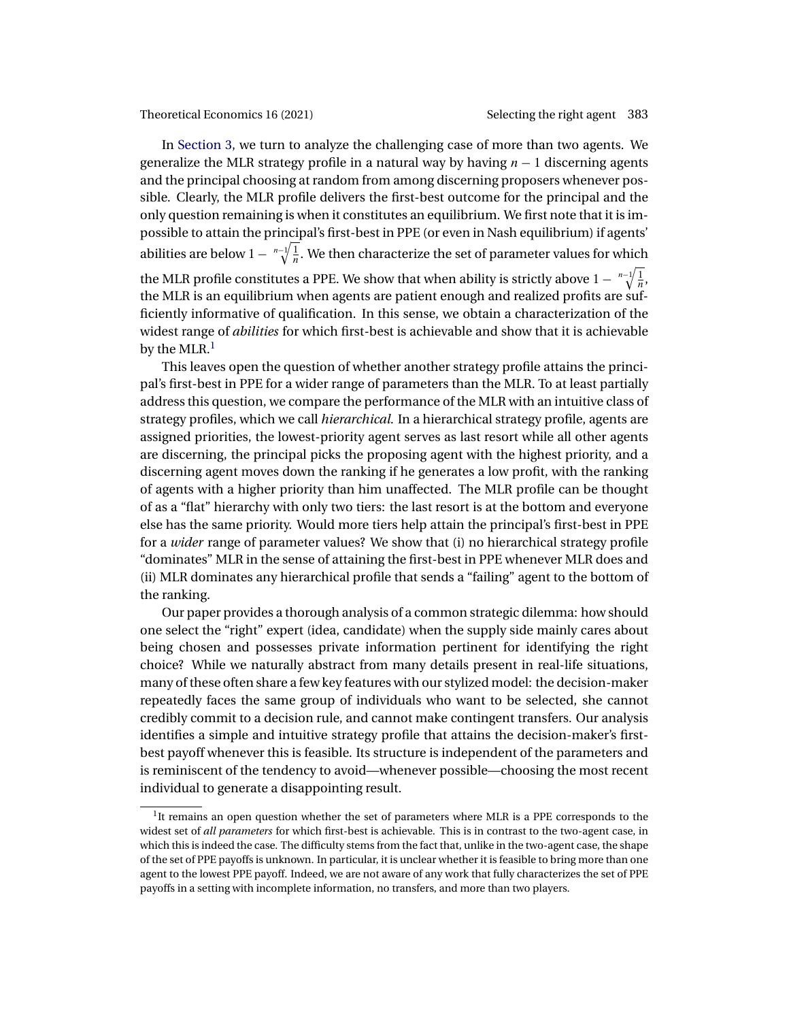In [Section 3,](#page-4-0) we turn to analyze the challenging case of more than two agents. We generalize the MLR strategy profile in a natural way by having  $n - 1$  discerning agents and the principal choosing at random from among discerning proposers whenever possible. Clearly, the MLR profile delivers the first-best outcome for the principal and the only question remaining is when it constitutes an equilibrium. We first note that it is impossible to attain the principal's first-best in PPE (or even in Nash equilibrium) if agents' abilities are below 1  $\sqrt[n-1]{\frac{1}{n}}$ . We then characterize the set of parameter values for which the MLR profile constitutes a PPE. We show that when ability is strictly above  $1 - \sqrt[m-1]{\frac{1}{n}}$ , the MLR is an equilibrium when agents are patient enough and realized profits are sufficiently informative of qualification. In this sense, we obtain a characterization of the widest range of *abilities* for which first-best is achievable and show that it is achievable by the MLR. $<sup>1</sup>$ </sup>

This leaves open the question of whether another strategy profile attains the principal's first-best in PPE for a wider range of parameters than the MLR. To at least partially address this question, we compare the performance of the MLR with an intuitive class of strategy profiles, which we call *hierarchical.* In a hierarchical strategy profile, agents are assigned priorities, the lowest-priority agent serves as last resort while all other agents are discerning, the principal picks the proposing agent with the highest priority, and a discerning agent moves down the ranking if he generates a low profit, with the ranking of agents with a higher priority than him unaffected. The MLR profile can be thought of as a "flat" hierarchy with only two tiers: the last resort is at the bottom and everyone else has the same priority. Would more tiers help attain the principal's first-best in PPE for a *wider* range of parameter values? We show that (i) no hierarchical strategy profile "dominates" MLR in the sense of attaining the first-best in PPE whenever MLR does and (ii) MLR dominates any hierarchical profile that sends a "failing" agent to the bottom of the ranking.

Our paper provides a thorough analysis of a common strategic dilemma: how should one select the "right" expert (idea, candidate) when the supply side mainly cares about being chosen and possesses private information pertinent for identifying the right choice? While we naturally abstract from many details present in real-life situations, many of these often share a few key features with our stylized model: the decision-maker repeatedly faces the same group of individuals who want to be selected, she cannot credibly commit to a decision rule, and cannot make contingent transfers. Our analysis identifies a simple and intuitive strategy profile that attains the decision-maker's firstbest payoff whenever this is feasible. Its structure is independent of the parameters and is reminiscent of the tendency to avoid—whenever possible—choosing the most recent individual to generate a disappointing result.

 $1$ <sup>1</sup>It remains an open question whether the set of parameters where MLR is a PPE corresponds to the widest set of *all parameters* for which first-best is achievable. This is in contrast to the two-agent case, in which this is indeed the case. The difficulty stems from the fact that, unlike in the two-agent case, the shape of the set of PPE payoffs is unknown. In particular, it is unclear whether it is feasible to bring more than one agent to the lowest PPE payoff. Indeed, we are not aware of any work that fully characterizes the set of PPE payoffs in a setting with incomplete information, no transfers, and more than two players.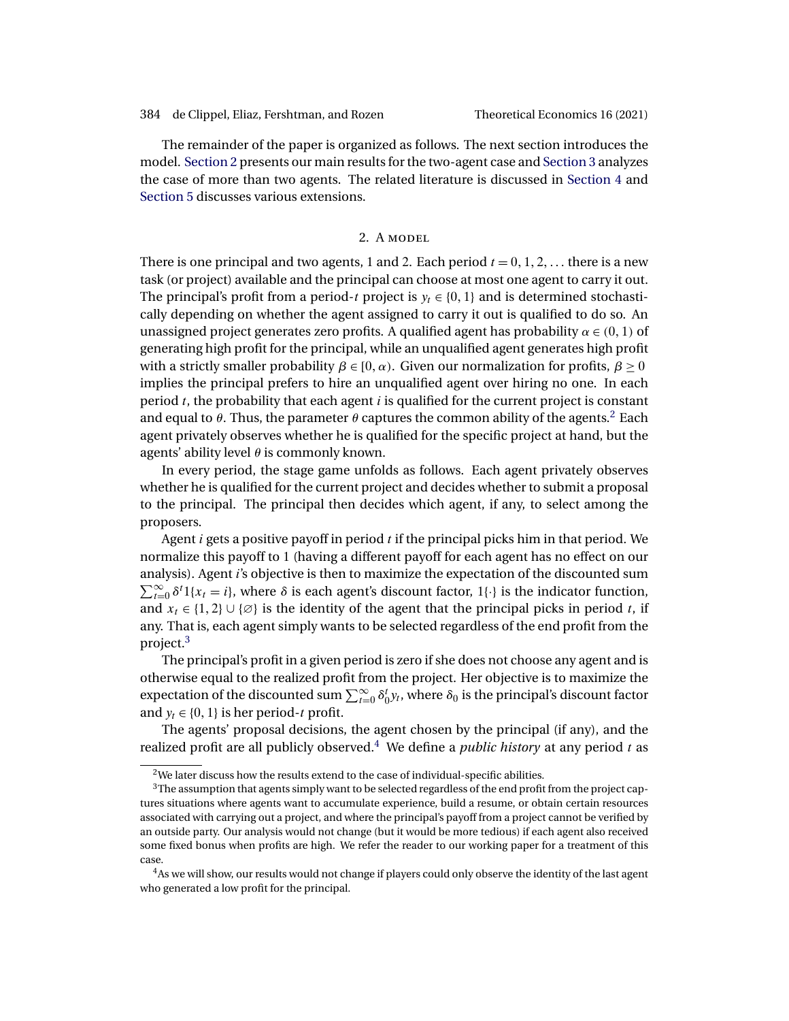The remainder of the paper is organized as follows. The next section introduces the model. Section 2 presents our main results for the two-agent case and [Section 3](#page-4-0) analyzes the case of more than two agents. The related literature is discussed in [Section 4](#page-8-0) and [Section 5](#page-12-0) discusses various extensions.

# 2. A MODEL

There is one principal and two agents, 1 and 2. Each period  $t = 0, 1, 2, \ldots$  there is a new task (or project) available and the principal can choose at most one agent to carry it out. The principal's profit from a period-t project is  $y_t \in \{0, 1\}$  and is determined stochastically depending on whether the agent assigned to carry it out is qualified to do so. An unassigned project generates zero profits. A qualified agent has probability  $\alpha \in (0, 1)$  of generating high profit for the principal, while an unqualified agent generates high profit with a strictly smaller probability  $β ∈ [0, α)$ . Given our normalization for profits,  $β ≥ 0$ implies the principal prefers to hire an unqualified agent over hiring no one. In each period  $t$ , the probability that each agent  $i$  is qualified for the current project is constant and equal to  $\theta$ . Thus, the parameter  $\theta$  captures the common ability of the agents.<sup>2</sup> Each agent privately observes whether he is qualified for the specific project at hand, but the agents' ability level  $\theta$  is commonly known.

In every period, the stage game unfolds as follows. Each agent privately observes whether he is qualified for the current project and decides whether to submit a proposal to the principal. The principal then decides which agent, if any, to select among the proposers.

Agent i gets a positive payoff in period  $t$  if the principal picks him in that period. We normalize this payoff to 1 (having a different payoff for each agent has no effect on our analysis). Agent i's objective is then to maximize the expectation of the discounted sum  $\sum_{t=0}^{\infty} \delta^t 1\{x_t = i\}$ , where  $\delta$  is each agent's discount factor,  $1\{\cdot\}$  is the indicator function, and  $x_t \in \{1, 2\} \cup \{\emptyset\}$  is the identity of the agent that the principal picks in period t, if any. That is, each agent simply wants to be selected regardless of the end profit from the project.3

The principal's profit in a given period is zero if she does not choose any agent and is otherwise equal to the realized profit from the project. Her objective is to maximize the expectation of the discounted sum  $\sum_{t=0}^{\infty} \delta_0^t y_t$ , where  $\delta_0$  is the principal's discount factor and  $y_t \in \{0, 1\}$  is her period-t profit.

The agents' proposal decisions, the agent chosen by the principal (if any), and the realized profit are all publicly observed.<sup>4</sup> We define a *public history* at any period  $t$  as

 $2$ We later discuss how the results extend to the case of individual-specific abilities.

 $3$ The assumption that agents simply want to be selected regardless of the end profit from the project captures situations where agents want to accumulate experience, build a resume, or obtain certain resources associated with carrying out a project, and where the principal's payoff from a project cannot be verified by an outside party. Our analysis would not change (but it would be more tedious) if each agent also received some fixed bonus when profits are high. We refer the reader to our working paper for a treatment of this case.

<sup>&</sup>lt;sup>4</sup>As we will show, our results would not change if players could only observe the identity of the last agent who generated a low profit for the principal.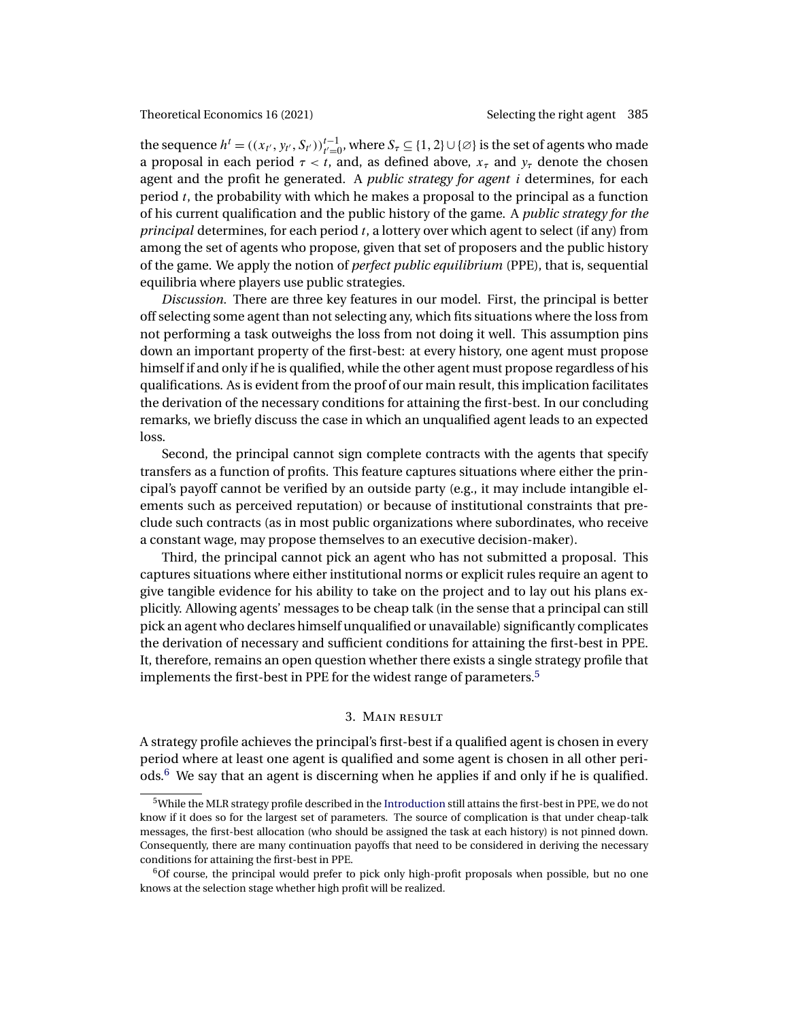<span id="page-4-0"></span>the sequence  $h^t = ((x_{t'}, y_{t'}, S_{t'}))_{t'=0}^{t-1}$ , where  $S_\tau \subseteq \{1, 2\} \cup \{\emptyset\}$  is the set of agents who made a proposal in each period  $\tau < t$ , and, as defined above,  $x_{\tau}$  and  $y_{\tau}$  denote the chosen agent and the profit he generated. A *public strategy for agent* i determines, for each period  $t$ , the probability with which he makes a proposal to the principal as a function of his current qualification and the public history of the game. A *public strategy for the principal* determines, for each period t, a lottery over which agent to select (if any) from among the set of agents who propose, given that set of proposers and the public history of the game. We apply the notion of *perfect public equilibrium* (PPE), that is, sequential equilibria where players use public strategies.

*Discussion.* There are three key features in our model. First, the principal is better off selecting some agent than not selecting any, which fits situations where the loss from not performing a task outweighs the loss from not doing it well. This assumption pins down an important property of the first-best: at every history, one agent must propose himself if and only if he is qualified, while the other agent must propose regardless of his qualifications. As is evident from the proof of our main result, this implication facilitates the derivation of the necessary conditions for attaining the first-best. In our concluding remarks, we briefly discuss the case in which an unqualified agent leads to an expected loss.

Second, the principal cannot sign complete contracts with the agents that specify transfers as a function of profits. This feature captures situations where either the principal's payoff cannot be verified by an outside party (e.g., it may include intangible elements such as perceived reputation) or because of institutional constraints that preclude such contracts (as in most public organizations where subordinates, who receive a constant wage, may propose themselves to an executive decision-maker).

Third, the principal cannot pick an agent who has not submitted a proposal. This captures situations where either institutional norms or explicit rules require an agent to give tangible evidence for his ability to take on the project and to lay out his plans explicitly. Allowing agents' messages to be cheap talk (in the sense that a principal can still pick an agent who declares himself unqualified or unavailable) significantly complicates the derivation of necessary and sufficient conditions for attaining the first-best in PPE. It, therefore, remains an open question whether there exists a single strategy profile that implements the first-best in PPE for the widest range of parameters.<sup>5</sup>

## 3. Main result

A strategy profile achieves the principal's first-best if a qualified agent is chosen in every period where at least one agent is qualified and some agent is chosen in all other periods.<sup>6</sup> We say that an agent is discerning when he applies if and only if he is qualified.

<sup>5</sup>While the MLR strategy profile described in the [Introduction](#page-0-0) still attains the first-best in PPE, we do not know if it does so for the largest set of parameters. The source of complication is that under cheap-talk messages, the first-best allocation (who should be assigned the task at each history) is not pinned down. Consequently, there are many continuation payoffs that need to be considered in deriving the necessary conditions for attaining the first-best in PPE.

 $60f$  course, the principal would prefer to pick only high-profit proposals when possible, but no one knows at the selection stage whether high profit will be realized.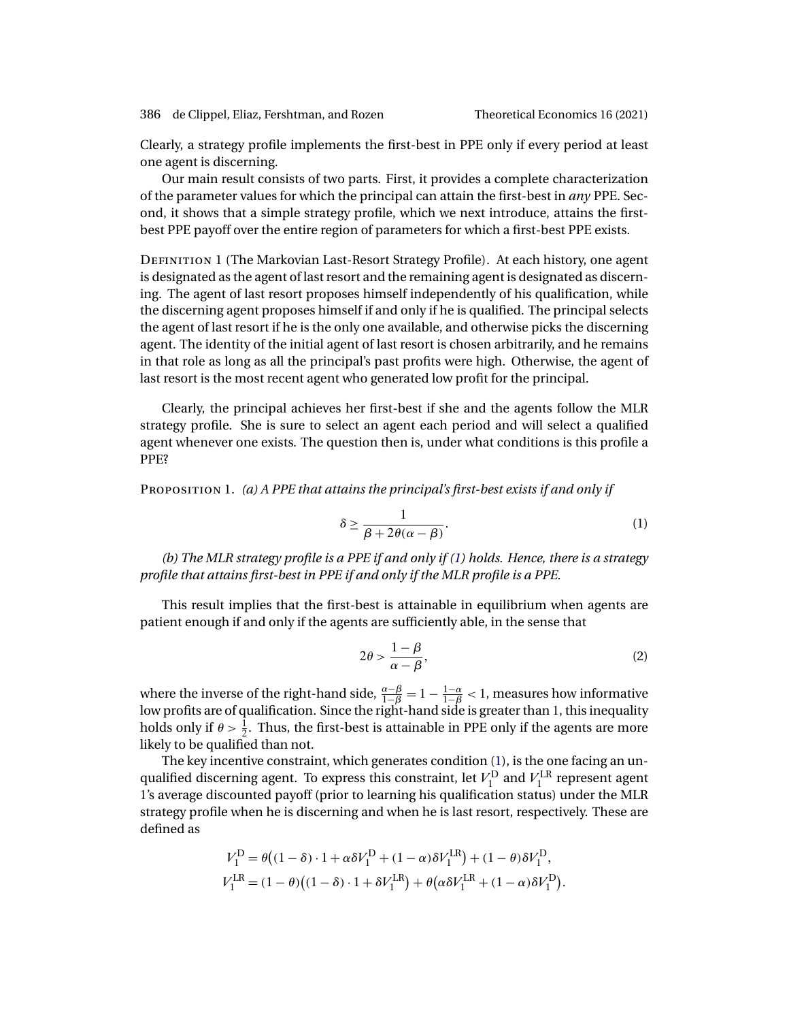<span id="page-5-0"></span>386 de Clippel, Eliaz, Fershtman, and Rozen Theoretical Economics 16 (2021)

Clearly, a strategy profile implements the first-best in PPE only if every period at least one agent is discerning.

Our main result consists of two parts. First, it provides a complete characterization of the parameter values for which the principal can attain the first-best in *any* PPE. Second, it shows that a simple strategy profile, which we next introduce, attains the firstbest PPE payoff over the entire region of parameters for which a first-best PPE exists.

Definition 1 (The Markovian Last-Resort Strategy Profile). At each history, one agent is designated as the agent of last resort and the remaining agent is designated as discerning. The agent of last resort proposes himself independently of his qualification, while the discerning agent proposes himself if and only if he is qualified. The principal selects the agent of last resort if he is the only one available, and otherwise picks the discerning agent. The identity of the initial agent of last resort is chosen arbitrarily, and he remains in that role as long as all the principal's past profits were high. Otherwise, the agent of last resort is the most recent agent who generated low profit for the principal.

Clearly, the principal achieves her first-best if she and the agents follow the MLR strategy profile. She is sure to select an agent each period and will select a qualified agent whenever one exists. The question then is, under what conditions is this profile a PPE?

Proposition 1. *(a) A PPE that attains the principal's first-best exists if and only if*

$$
\delta \ge \frac{1}{\beta + 2\theta(\alpha - \beta)}.\tag{1}
$$

*(b) The MLR strategy profile is a PPE if and only if (1) holds. Hence, there is a strategy profile that attains first-best in PPE if and only if the MLR profile is a PPE.*

This result implies that the first-best is attainable in equilibrium when agents are patient enough if and only if the agents are sufficiently able, in the sense that

$$
2\theta > \frac{1-\beta}{\alpha - \beta},\tag{2}
$$

where the inverse of the right-hand side,  $\frac{\alpha-\beta}{1-\beta}=1-\frac{1-\alpha}{1-\beta}<1,$  measures how informative low profits are of qualification. Since the right-hand side is greater than 1, this inequality holds only if  $\theta > \frac{1}{2}$ . Thus, the first-best is attainable in PPE only if the agents are more likely to be qualified than not.

The key incentive constraint, which generates condition (1), is the one facing an unqualified discerning agent. To express this constraint, let  $V_1^D$  and  $V_1^{LR}$  represent agent 1's average discounted payoff (prior to learning his qualification status) under the MLR strategy profile when he is discerning and when he is last resort, respectively. These are defined as

$$
V_1^D = \theta \big( (1 - \delta) \cdot 1 + \alpha \delta V_1^D + (1 - \alpha) \delta V_1^{LR} \big) + (1 - \theta) \delta V_1^D,
$$
  
\n
$$
V_1^{LR} = (1 - \theta) \big( (1 - \delta) \cdot 1 + \delta V_1^{LR} \big) + \theta \big( \alpha \delta V_1^{LR} + (1 - \alpha) \delta V_1^D \big).
$$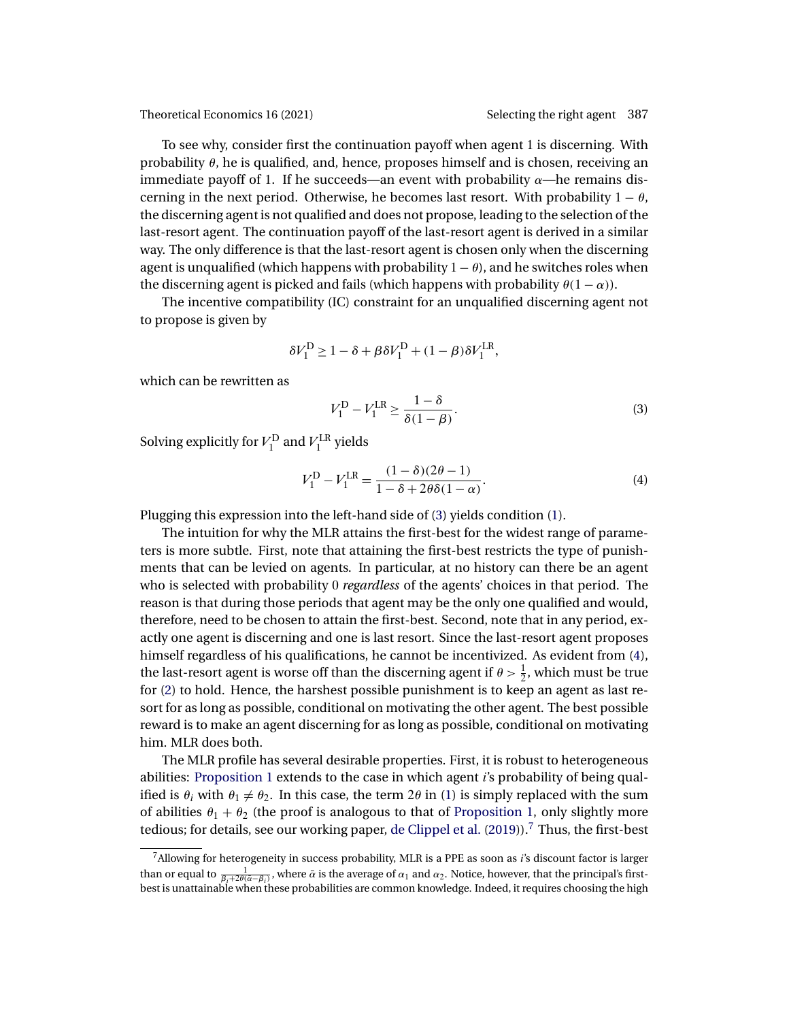<span id="page-6-0"></span>To see why, consider first the continuation payoff when agent 1 is discerning. With probability  $\theta$ , he is qualified, and, hence, proposes himself and is chosen, receiving an immediate payoff of 1. If he succeeds—an event with probability  $\alpha$ —he remains discerning in the next period. Otherwise, he becomes last resort. With probability  $1 - \theta$ , the discerning agent is not qualified and does not propose, leading to the selection of the last-resort agent. The continuation payoff of the last-resort agent is derived in a similar way. The only difference is that the last-resort agent is chosen only when the discerning agent is unqualified (which happens with probability  $1 - \theta$ ), and he switches roles when the discerning agent is picked and fails (which happens with probability  $\theta(1-\alpha)$ ).

The incentive compatibility (IC) constraint for an unqualified discerning agent not to propose is given by

$$
\delta V^\mathrm{D}_1 \geq 1 - \delta + \beta \delta V^\mathrm{D}_1 + (1-\beta) \delta V^\mathrm{LR}_1,
$$

which can be rewritten as

$$
V_1^{\text{D}} - V_1^{\text{LR}} \ge \frac{1 - \delta}{\delta(1 - \beta)}.
$$
 (3)

Solving explicitly for  $V_1^{\text{D}}$  and  $V_1^{\text{LR}}$  yields

$$
V_1^{\mathcal{D}} - V_1^{\mathcal{L}\mathcal{R}} = \frac{(1 - \delta)(2\theta - 1)}{1 - \delta + 2\theta\delta(1 - \alpha)}.
$$
 (4)

Plugging this expression into the left-hand side of (3) yields condition [\(1\)](#page-5-0).

The intuition for why the MLR attains the first-best for the widest range of parameters is more subtle. First, note that attaining the first-best restricts the type of punishments that can be levied on agents. In particular, at no history can there be an agent who is selected with probability 0 *regardless* of the agents' choices in that period. The reason is that during those periods that agent may be the only one qualified and would, therefore, need to be chosen to attain the first-best. Second, note that in any period, exactly one agent is discerning and one is last resort. Since the last-resort agent proposes himself regardless of his qualifications, he cannot be incentivized. As evident from (4), the last-resort agent is worse off than the discerning agent if  $\theta > \frac{1}{2}$ , which must be true for [\(2\)](#page-5-0) to hold. Hence, the harshest possible punishment is to keep an agent as last resort for as long as possible, conditional on motivating the other agent. The best possible reward is to make an agent discerning for as long as possible, conditional on motivating him. MLR does both.

The MLR profile has several desirable properties. First, it is robust to heterogeneous abilities: [Proposition 1](#page-5-0) extends to the case in which agent i's probability of being qualified is  $\theta_i$  with  $\theta_1 \neq \theta_2$ . In this case, the term 2 $\theta$  in [\(1\)](#page-5-0) is simply replaced with the sum of abilities  $\theta_1 + \theta_2$  (the proof is analogous to that of [Proposition 1,](#page-5-0) only slightly more tedious; for details, see our working paper, [de Clippel et al.](#page-20-0)  $(2019)$ ).<sup>7</sup> Thus, the first-best

<sup>&</sup>lt;sup>7</sup>Allowing for heterogeneity in success probability, MLR is a PPE as soon as *i*'s discount factor is larger than or equal to  $\frac{1}{\beta_i+2\theta(\bar{\alpha}-\beta_i)}$ , where  $\bar{\alpha}$  is the average of  $\alpha_1$  and  $\alpha_2$ . Notice, however, that the principal's first-<br>best is unattainable when these probabilities are common knowledge. Indeed, it requ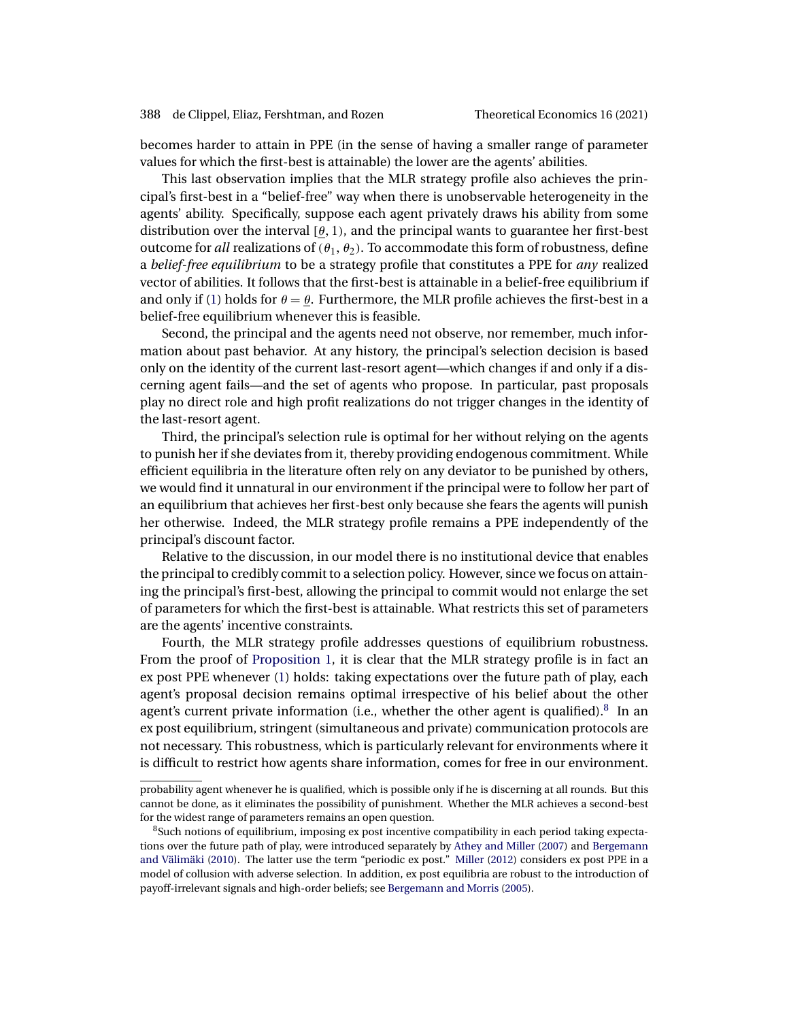<span id="page-7-0"></span>becomes harder to attain in PPE (in the sense of having a smaller range of parameter values for which the first-best is attainable) the lower are the agents' abilities.

This last observation implies that the MLR strategy profile also achieves the principal's first-best in a "belief-free" way when there is unobservable heterogeneity in the agents' ability. Specifically, suppose each agent privately draws his ability from some distribution over the interval [ $\theta$ , 1), and the principal wants to guarantee her first-best outcome for *all* realizations of  $(\theta_1, \theta_2)$ . To accommodate this form of robustness, define a *belief-free equilibrium* to be a strategy profile that constitutes a PPE for *any* realized vector of abilities. It follows that the first-best is attainable in a belief-free equilibrium if and only if [\(1\)](#page-5-0) holds for  $\theta = \theta$ . Furthermore, the MLR profile achieves the first-best in a belief-free equilibrium whenever this is feasible.

Second, the principal and the agents need not observe, nor remember, much information about past behavior. At any history, the principal's selection decision is based only on the identity of the current last-resort agent—which changes if and only if a discerning agent fails—and the set of agents who propose. In particular, past proposals play no direct role and high profit realizations do not trigger changes in the identity of the last-resort agent.

Third, the principal's selection rule is optimal for her without relying on the agents to punish her if she deviates from it, thereby providing endogenous commitment. While efficient equilibria in the literature often rely on any deviator to be punished by others, we would find it unnatural in our environment if the principal were to follow her part of an equilibrium that achieves her first-best only because she fears the agents will punish her otherwise. Indeed, the MLR strategy profile remains a PPE independently of the principal's discount factor.

Relative to the discussion, in our model there is no institutional device that enables the principal to credibly commit to a selection policy. However, since we focus on attaining the principal's first-best, allowing the principal to commit would not enlarge the set of parameters for which the first-best is attainable. What restricts this set of parameters are the agents' incentive constraints.

Fourth, the MLR strategy profile addresses questions of equilibrium robustness. From the proof of [Proposition 1,](#page-5-0) it is clear that the MLR strategy profile is in fact an ex post PPE whenever [\(1\)](#page-5-0) holds: taking expectations over the future path of play, each agent's proposal decision remains optimal irrespective of his belief about the other agent's current private information (i.e., whether the other agent is qualified). $8$  In an ex post equilibrium, stringent (simultaneous and private) communication protocols are not necessary. This robustness, which is particularly relevant for environments where it is difficult to restrict how agents share information, comes for free in our environment.

probability agent whenever he is qualified, which is possible only if he is discerning at all rounds. But this cannot be done, as it eliminates the possibility of punishment. Whether the MLR achieves a second-best for the widest range of parameters remains an open question.

<sup>&</sup>lt;sup>8</sup>Such notions of equilibrium, imposing ex post incentive compatibility in each period taking expectations over the future path of play, were introduced separately by [Athey and Miller](#page-20-0) [\(2007\)](#page-20-0) and [Bergemann](#page-20-0) [and Välimäki](#page-20-0) [\(2010\)](#page-20-0). The latter use the term "periodic ex post." [Miller](#page-21-0) [\(2012\)](#page-21-0) considers ex post PPE in a model of collusion with adverse selection. In addition, ex post equilibria are robust to the introduction of payoff-irrelevant signals and high-order beliefs; see [Bergemann and Morris](#page-20-0) [\(2005\)](#page-20-0).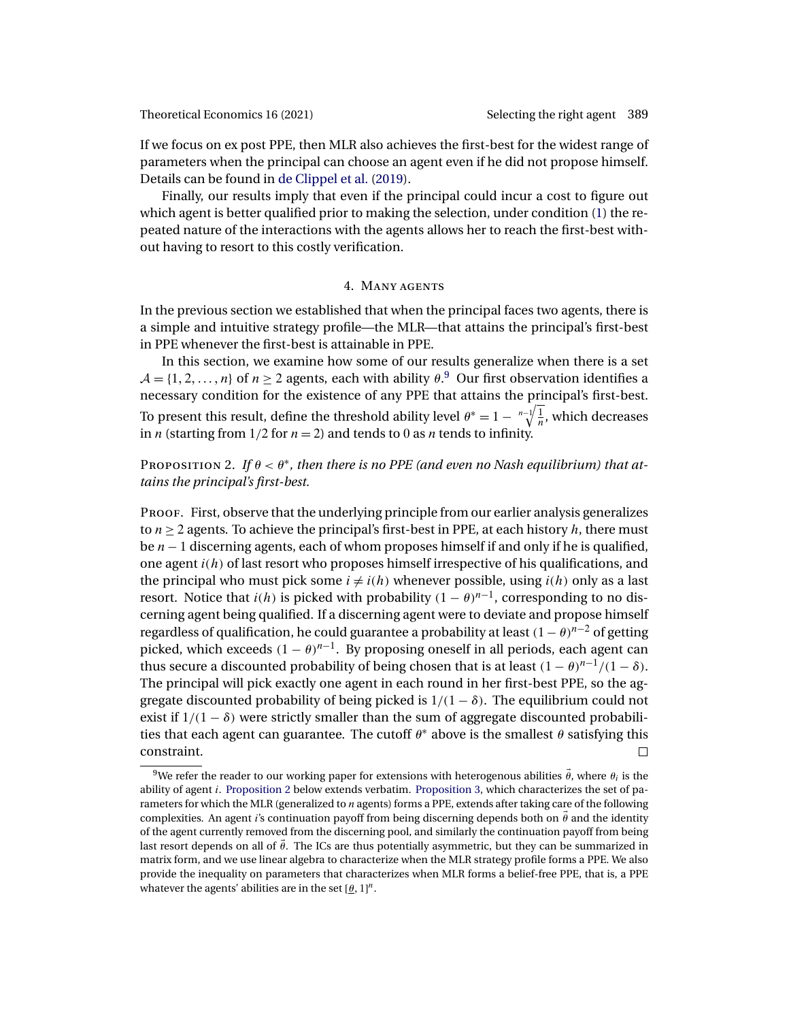<span id="page-8-0"></span>If we focus on ex post PPE, then MLR also achieves the first-best for the widest range of parameters when the principal can choose an agent even if he did not propose himself. Details can be found in [de Clippel et al.](#page-20-0) [\(2019\)](#page-20-0).

Finally, our results imply that even if the principal could incur a cost to figure out which agent is better qualified prior to making the selection, under condition [\(1\)](#page-5-0) the repeated nature of the interactions with the agents allows her to reach the first-best without having to resort to this costly verification.

### 4. Many agents

In the previous section we established that when the principal faces two agents, there is a simple and intuitive strategy profile—the MLR—that attains the principal's first-best in PPE whenever the first-best is attainable in PPE.

In this section, we examine how some of our results generalize when there is a set  $\mathcal{A} = \{1, 2, ..., n\}$  of  $n \geq 2$  agents, each with ability  $\theta$ .<sup>9</sup> Our first observation identifies a necessary condition for the existence of any PPE that attains the principal's first-best. To present this result, define the threshold ability level  $\theta^* = 1 - \sqrt[n-1]{\frac{1}{n}}$ , which decreases in *n* (starting from 1/2 for  $n = 2$ ) and tends to 0 as *n* tends to infinity.

PROPOSITION 2. If  $\theta < \theta^*$ , then there is no PPE (and even no Nash equilibrium) that at*tains the principal's first-best.*

PROOF. First, observe that the underlying principle from our earlier analysis generalizes to  $n \geq 2$  agents. To achieve the principal's first-best in PPE, at each history h, there must be  $n - 1$  discerning agents, each of whom proposes himself if and only if he is qualified, one agent  $i(h)$  of last resort who proposes himself irrespective of his qualifications, and the principal who must pick some  $i \neq i(h)$  whenever possible, using  $i(h)$  only as a last resort. Notice that  $i(h)$  is picked with probability  $(1 - \theta)^{n-1}$ , corresponding to no discerning agent being qualified. If a discerning agent were to deviate and propose himself regardless of qualification, he could guarantee a probability at least  $(1 - \theta)^{n-2}$  of getting picked, which exceeds  $(1 - \theta)^{n-1}$ . By proposing oneself in all periods, each agent can thus secure a discounted probability of being chosen that is at least  $(1 - \theta)^{n-1}/(1 - \delta)$ . The principal will pick exactly one agent in each round in her first-best PPE, so the aggregate discounted probability of being picked is  $1/(1 - \delta)$ . The equilibrium could not exist if  $1/(1 - \delta)$  were strictly smaller than the sum of aggregate discounted probabilities that each agent can guarantee. The cutoff  $\theta^*$  above is the smallest  $\theta$  satisfying this constraint.  $\Box$ 

 $^9$ We refer the reader to our working paper for extensions with heterogenous abilities  $\vec{\theta}$ , where  $\theta_i$  is the ability of agent i. Proposition 2 below extends verbatim. [Proposition 3,](#page-9-0) which characterizes the set of parameters for which the MLR (generalized to  $n$  agents) forms a PPE, extends after taking care of the following complexities. An agent i's continuation payoff from being discerning depends both on  $\vec{\theta}$  and the identity of the agent currently removed from the discerning pool, and similarly the continuation payoff from being last resort depends on all of  $\vec{\theta}$ . The ICs are thus potentially asymmetric, but they can be summarized in matrix form, and we use linear algebra to characterize when the MLR strategy profile forms a PPE. We also provide the inequality on parameters that characterizes when MLR forms a belief-free PPE, that is, a PPE whatever the agents' abilities are in the set  $[\theta, 1]^n$ .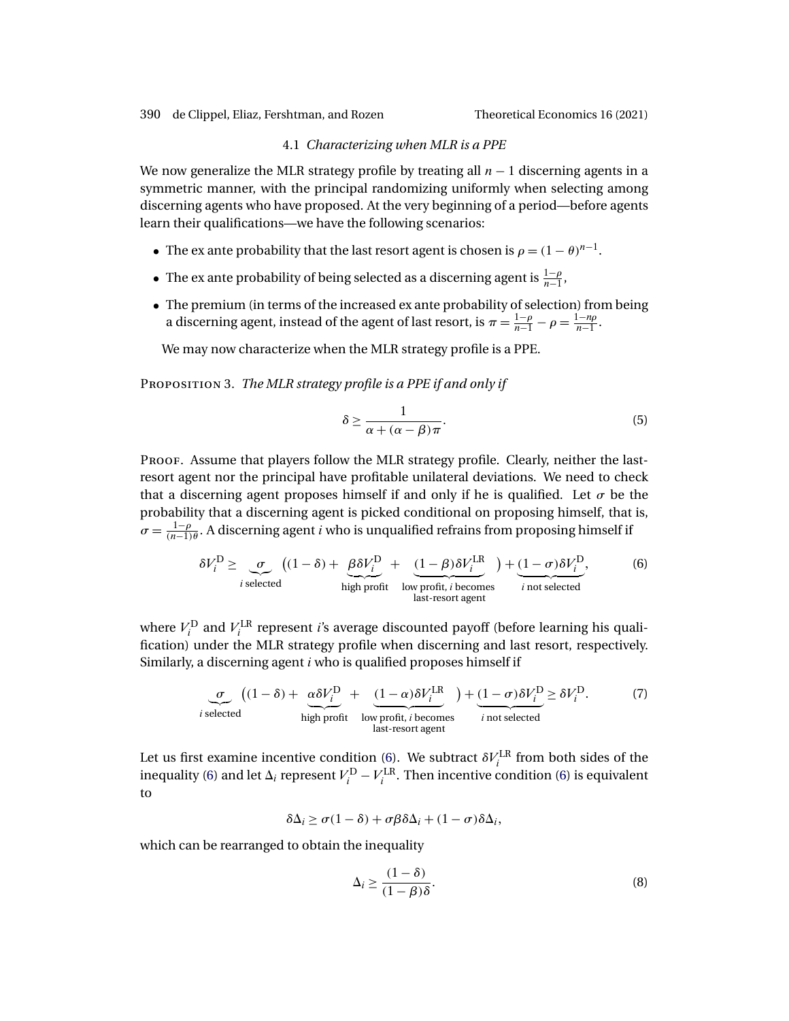### 4.1 *Characterizing when MLR is a PPE*

<span id="page-9-0"></span>We now generalize the MLR strategy profile by treating all  $n - 1$  discerning agents in a symmetric manner, with the principal randomizing uniformly when selecting among discerning agents who have proposed. At the very beginning of a period—before agents learn their qualifications—we have the following scenarios:

- The ex ante probability that the last resort agent is chosen is  $\rho = (1 \theta)^{n-1}$ .
- The ex ante probability of being selected as a discerning agent is  $\frac{1-\rho}{n-1}$ ,
- The premium (in terms of the increased ex ante probability of selection) from being a discerning agent, instead of the agent of last resort, is  $\pi = \frac{1-\rho}{n-1} - \rho = \frac{1-n\rho}{n-1}$ .

We may now characterize when the MLR strategy profile is a PPE.

Proposition 3. *The MLR strategy profile is a PPE if and only if*

$$
\delta \ge \frac{1}{\alpha + (\alpha - \beta)\pi}.\tag{5}
$$

PROOF. Assume that players follow the MLR strategy profile. Clearly, neither the lastresort agent nor the principal have profitable unilateral deviations. We need to check that a discerning agent proposes himself if and only if he is qualified. Let  $\sigma$  be the probability that a discerning agent is picked conditional on proposing himself, that is,  $\sigma = \frac{1-\rho}{(n-1)\theta}$ . A discerning agent *i* who is unqualified refrains from proposing himself if

$$
\delta V_i^{\text{D}} \ge \underbrace{\sigma}_{i \text{ selected}} \frac{\left((1-\delta) + \underbrace{\beta \delta V_i^{\text{D}}}_{\text{high profit}} + \underbrace{(1-\beta)\delta V_i^{\text{LR}}}_{\text{low profit, } i \text{ becomes}}\right) + \underbrace{(1-\sigma)\delta V_i^{\text{D}}}_{i \text{ not selected}},
$$
\n(6)

where  $V_i^{\text{D}}$  and  $V_i^{\text{LR}}$  represent *i*'s average discounted payoff (before learning his qualification) under the MLR strategy profile when discerning and last resort, respectively. Similarly, a discerning agent i who is qualified proposes himself if

$$
\underbrace{\sigma}_{i \text{ selected}} \left( (1 - \delta) + \underbrace{\alpha \delta V_i^{\text{D}}}_{\text{high profit}} + \underbrace{(1 - \alpha) \delta V_i^{\text{LR}}}_{\text{low profit, } i \text{ becomes}} \right) + \underbrace{(1 - \sigma) \delta V_i^{\text{D}}}_{i \text{ not selected}} \ge \delta V_i^{\text{D}}.
$$
 (7)

Let us first examine incentive condition (6). We subtract  $\delta V_i^{\text{LR}}$  from both sides of the inequality (6) and let  $\Delta_i$  represent  $V_i^{\text{D}} - V_i^{\text{LR}}$ . Then incentive condition (6) is equivalent to

 $\delta \Delta_i \geq \sigma (1 - \delta) + \sigma \beta \delta \Delta_i + (1 - \sigma) \delta \Delta_i$ 

which can be rearranged to obtain the inequality

$$
\Delta_i \ge \frac{(1-\delta)}{(1-\beta)\delta}.\tag{8}
$$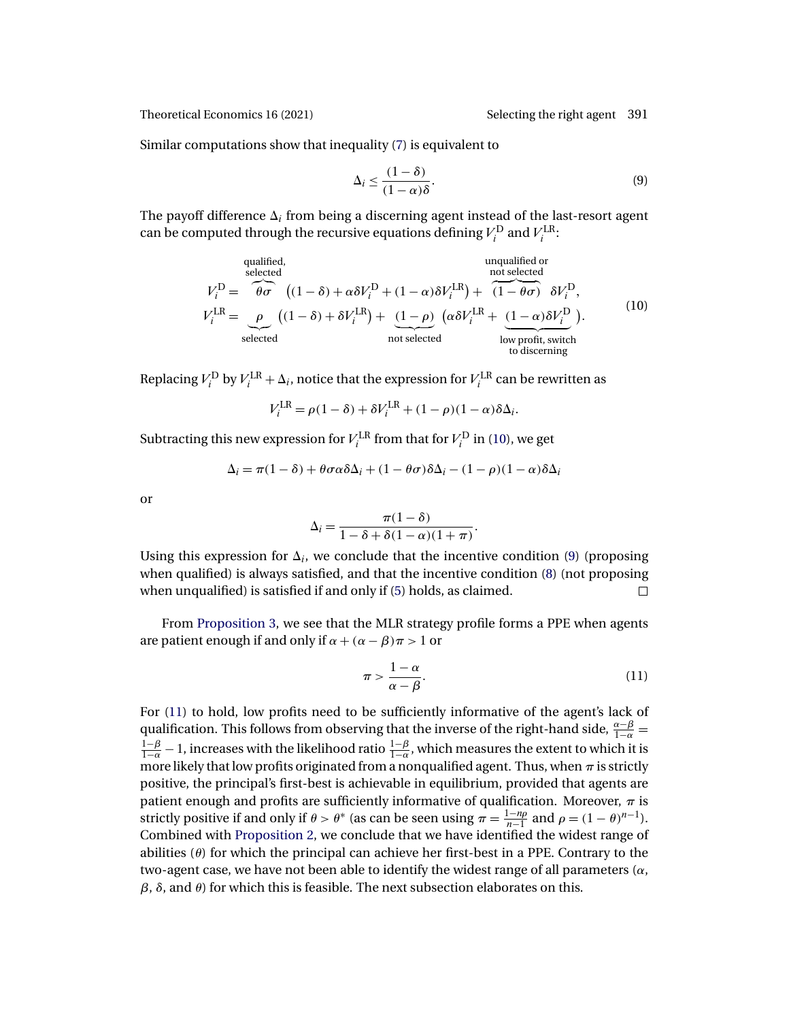Similar computations show that inequality [\(7\)](#page-9-0) is equivalent to

$$
\Delta_i \le \frac{(1-\delta)}{(1-\alpha)\delta}.\tag{9}
$$

The payoff difference  $\Delta_i$  from being a discerning agent instead of the last-resort agent can be computed through the recursive equations defining  $V_i^{\text{D}}$  and  $V_i^{\text{LR}}$ :

qualified,  
\nselected  
\n
$$
V_i^D = \overbrace{\theta \sigma}^{\text{qualified,}} ((1 - \delta) + \alpha \delta V_i^D + (1 - \alpha) \delta V_i^{LR}) + \overbrace{(1 - \theta \sigma)}^{\text{unqualified or}} \delta V_i^D,
$$
\n
$$
V_i^{LR} = \underbrace{\rho}_{\text{selected}} ((1 - \delta) + \delta V_i^{LR}) + \underbrace{(1 - \rho)}_{\text{not selected}} (\alpha \delta V_i^{LR} + \underbrace{(1 - \alpha) \delta V_i^D}_{\text{low profit, switch}}).
$$
\n(10)

Replacing  $V_i^{\text{D}}$  by  $V_i^{\text{LR}} + \Delta_i$ , notice that the expression for  $V_i^{\text{LR}}$  can be rewritten as

$$
V_i^{\text{LR}} = \rho(1 - \delta) + \delta V_i^{\text{LR}} + (1 - \rho)(1 - \alpha)\delta\Delta_i.
$$

Subtracting this new expression for  $V^{\text{LR}}_i$  from that for  $V^{\text{D}}_i$  in (10), we get

$$
\Delta_i = \pi(1 - \delta) + \theta \sigma \alpha \delta \Delta_i + (1 - \theta \sigma) \delta \Delta_i - (1 - \rho)(1 - \alpha) \delta \Delta_i
$$

or

$$
\Delta_i = \frac{\pi(1-\delta)}{1-\delta+\delta(1-\alpha)(1+\pi)}.
$$

Using this expression for  $\Delta_i$ , we conclude that the incentive condition (9) (proposing when qualified) is always satisfied, and that the incentive condition [\(8\)](#page-9-0) (not proposing when unqualified) is satisfied if and only if [\(5\)](#page-9-0) holds, as claimed.  $\Box$ 

From [Proposition 3,](#page-9-0) we see that the MLR strategy profile forms a PPE when agents are patient enough if and only if  $\alpha + (\alpha - \beta)\pi > 1$  or

$$
\pi > \frac{1-\alpha}{\alpha - \beta}.\tag{11}
$$

For (11) to hold, low profits need to be sufficiently informative of the agent's lack of qualification. This follows from observing that the inverse of the right-hand side,  $\frac{\alpha-\beta}{1-\alpha}$  =  $\frac{1-\beta}{1-\alpha}-1$ , increases with the likelihood ratio  $\frac{1-\beta}{1-\alpha}$ , which measures the extent to which it is more likely that low profits originated from a nonqualified agent. Thus, when  $\pi$  is strictly positive, the principal's first-best is achievable in equilibrium, provided that agents are patient enough and profits are sufficiently informative of qualification. Moreover,  $\pi$  is strictly positive if and only if  $\theta > \theta^*$  (as can be seen using  $\pi = \frac{1-n\rho}{n-1}$  and  $\rho = (1-\theta)^{n-1}$ ). Combined with [Proposition 2,](#page-8-0) we conclude that we have identified the widest range of abilities  $(\theta)$  for which the principal can achieve her first-best in a PPE. Contrary to the two-agent case, we have not been able to identify the widest range of all parameters  $(\alpha, \beta)$  $β$ ,  $δ$ , and  $θ$ ) for which this is feasible. The next subsection elaborates on this.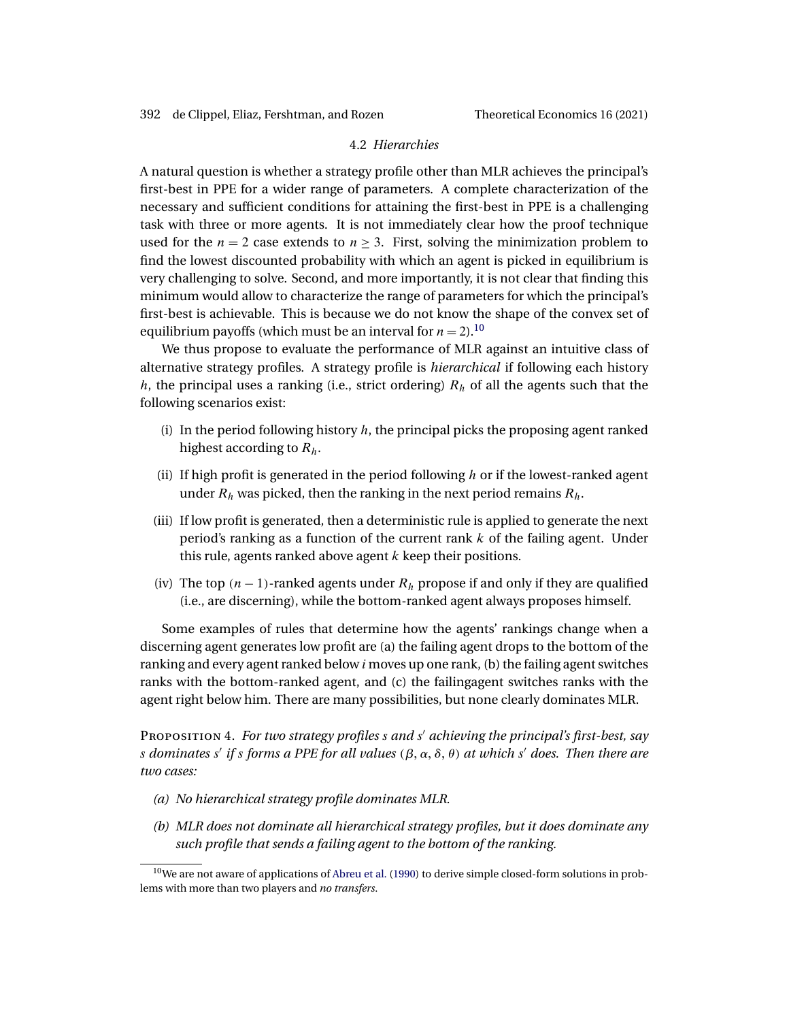# 4.2 *Hierarchies*

<span id="page-11-0"></span>A natural question is whether a strategy profile other than MLR achieves the principal's first-best in PPE for a wider range of parameters. A complete characterization of the necessary and sufficient conditions for attaining the first-best in PPE is a challenging task with three or more agents. It is not immediately clear how the proof technique used for the  $n = 2$  case extends to  $n \geq 3$ . First, solving the minimization problem to find the lowest discounted probability with which an agent is picked in equilibrium is very challenging to solve. Second, and more importantly, it is not clear that finding this minimum would allow to characterize the range of parameters for which the principal's first-best is achievable. This is because we do not know the shape of the convex set of equilibrium payoffs (which must be an interval for  $n = 2$ ).<sup>10</sup>

We thus propose to evaluate the performance of MLR against an intuitive class of alternative strategy profiles. A strategy profile is *hierarchical* if following each history h, the principal uses a ranking (i.e., strict ordering)  $R_h$  of all the agents such that the following scenarios exist:

- (i) In the period following history  $h$ , the principal picks the proposing agent ranked highest according to  $R_h$ .
- (ii) If high profit is generated in the period following  $h$  or if the lowest-ranked agent under  $R_h$  was picked, then the ranking in the next period remains  $R_h$ .
- (iii) If low profit is generated, then a deterministic rule is applied to generate the next period's ranking as a function of the current rank  $k$  of the failing agent. Under this rule, agents ranked above agent  $k$  keep their positions.
- (iv) The top  $(n 1)$ -ranked agents under  $R_h$  propose if and only if they are qualified (i.e., are discerning), while the bottom-ranked agent always proposes himself.

Some examples of rules that determine how the agents' rankings change when a discerning agent generates low profit are (a) the failing agent drops to the bottom of the ranking and every agent ranked below  $i$  moves up one rank, (b) the failing agent switches ranks with the bottom-ranked agent, and (c) the failingagent switches ranks with the agent right below him. There are many possibilities, but none clearly dominates MLR.

PROPOSITION 4. *For two strategy profiles s and s' achieving the principal's first-best, say s* dominates s' if s forms a PPE for all values  $(\beta, \alpha, \delta, \theta)$  at which s' does. Then there are *two cases:*

- *(a) No hierarchical strategy profile dominates MLR.*
- *(b) MLR does not dominate all hierarchical strategy profiles, but it does dominate any such profile that sends a failing agent to the bottom of the ranking.*

 $10$ We are not aware of applications of [Abreu et al.](#page-20-0) [\(1990\)](#page-20-0) to derive simple closed-form solutions in problems with more than two players and *no transfers*.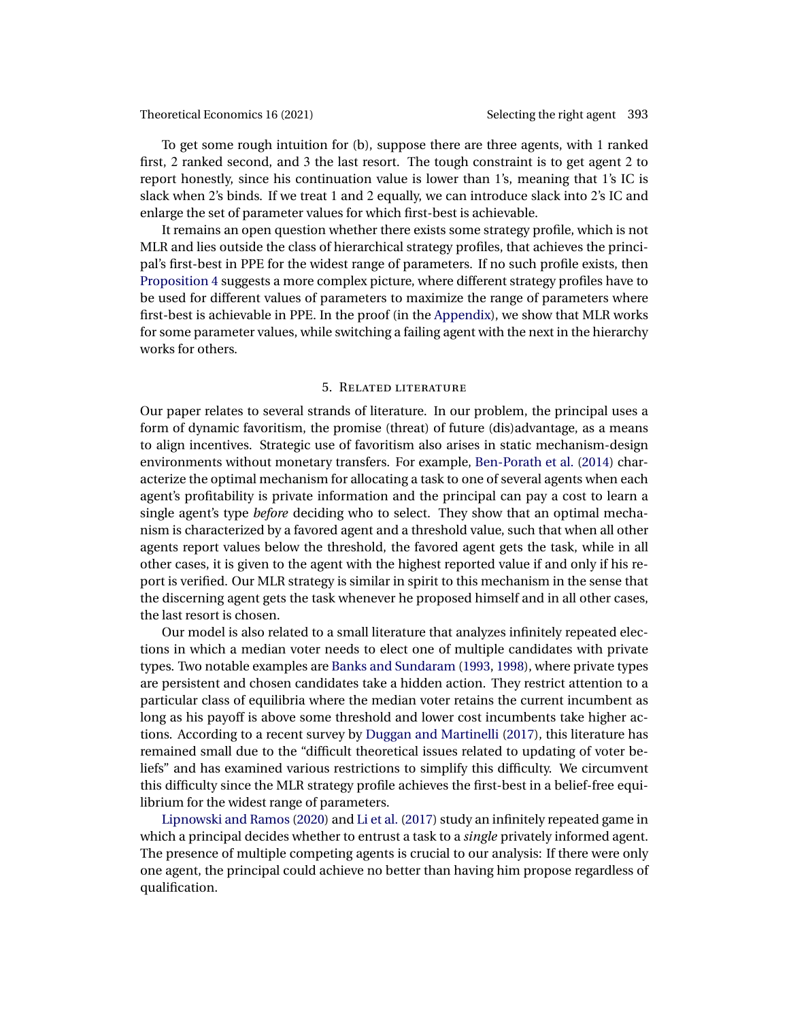<span id="page-12-0"></span>To get some rough intuition for (b), suppose there are three agents, with 1 ranked first, 2 ranked second, and 3 the last resort. The tough constraint is to get agent 2 to report honestly, since his continuation value is lower than 1's, meaning that 1's IC is slack when 2's binds. If we treat 1 and 2 equally, we can introduce slack into 2's IC and enlarge the set of parameter values for which first-best is achievable.

It remains an open question whether there exists some strategy profile, which is not MLR and lies outside the class of hierarchical strategy profiles, that achieves the principal's first-best in PPE for the widest range of parameters. If no such profile exists, then [Proposition 4](#page-11-0) suggests a more complex picture, where different strategy profiles have to be used for different values of parameters to maximize the range of parameters where first-best is achievable in PPE. In the proof (in the [Appendix\)](#page-14-0), we show that MLR works for some parameter values, while switching a failing agent with the next in the hierarchy works for others.

#### 5. Related literature

Our paper relates to several strands of literature. In our problem, the principal uses a form of dynamic favoritism, the promise (threat) of future (dis)advantage, as a means to align incentives. Strategic use of favoritism also arises in static mechanism-design environments without monetary transfers. For example, [Ben-Porath et al.](#page-20-0) [\(2014\)](#page-20-0) characterize the optimal mechanism for allocating a task to one of several agents when each agent's profitability is private information and the principal can pay a cost to learn a single agent's type *before* deciding who to select. They show that an optimal mechanism is characterized by a favored agent and a threshold value, such that when all other agents report values below the threshold, the favored agent gets the task, while in all other cases, it is given to the agent with the highest reported value if and only if his report is verified. Our MLR strategy is similar in spirit to this mechanism in the sense that the discerning agent gets the task whenever he proposed himself and in all other cases, the last resort is chosen.

Our model is also related to a small literature that analyzes infinitely repeated elections in which a median voter needs to elect one of multiple candidates with private types. Two notable examples are [Banks and Sundaram](#page-20-0) [\(1993,](#page-20-0) [1998\)](#page-20-0), where private types are persistent and chosen candidates take a hidden action. They restrict attention to a particular class of equilibria where the median voter retains the current incumbent as long as his payoff is above some threshold and lower cost incumbents take higher actions. According to a recent survey by [Duggan and Martinelli](#page-20-0) [\(2017\)](#page-20-0), this literature has remained small due to the "difficult theoretical issues related to updating of voter beliefs" and has examined various restrictions to simplify this difficulty. We circumvent this difficulty since the MLR strategy profile achieves the first-best in a belief-free equilibrium for the widest range of parameters.

[Lipnowski and Ramos](#page-21-0) [\(2020\)](#page-21-0) and [Li et al.](#page-20-0) [\(2017\)](#page-20-0) study an infinitely repeated game in which a principal decides whether to entrust a task to a *single* privately informed agent. The presence of multiple competing agents is crucial to our analysis: If there were only one agent, the principal could achieve no better than having him propose regardless of qualification.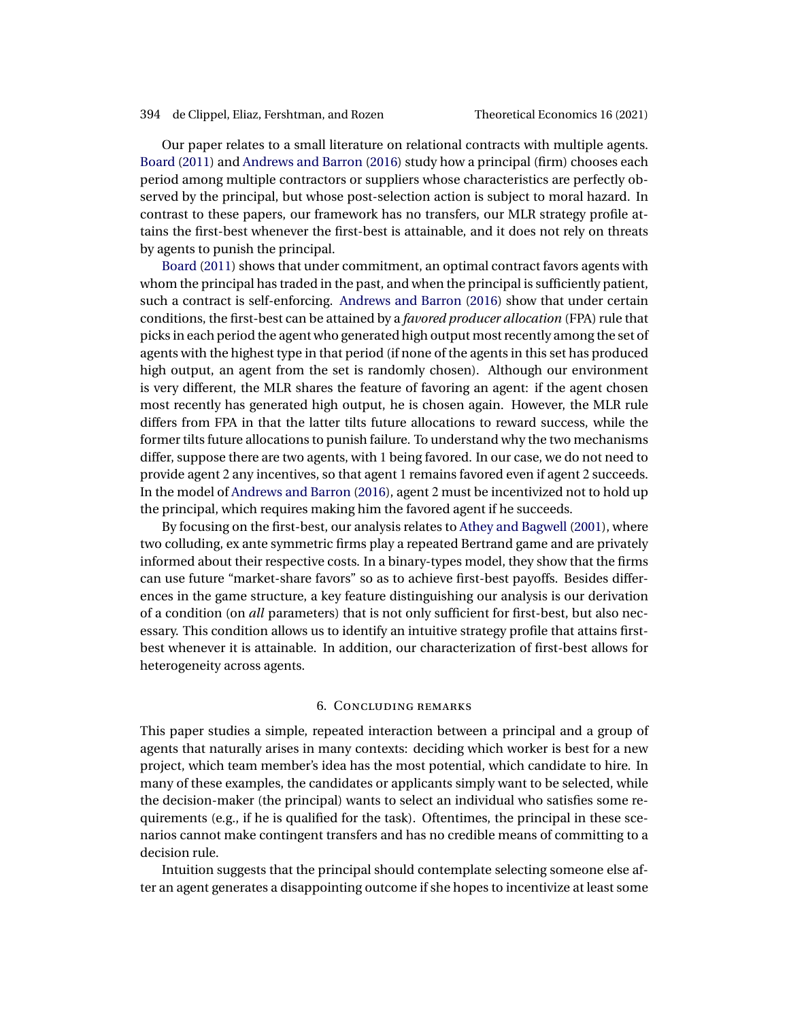<span id="page-13-0"></span>Our paper relates to a small literature on relational contracts with multiple agents. [Board](#page-20-0) [\(2011\)](#page-20-0) and [Andrews and Barron](#page-20-0) [\(2016\)](#page-20-0) study how a principal (firm) chooses each period among multiple contractors or suppliers whose characteristics are perfectly observed by the principal, but whose post-selection action is subject to moral hazard. In contrast to these papers, our framework has no transfers, our MLR strategy profile attains the first-best whenever the first-best is attainable, and it does not rely on threats by agents to punish the principal.

[Board](#page-20-0) [\(2011\)](#page-20-0) shows that under commitment, an optimal contract favors agents with whom the principal has traded in the past, and when the principal is sufficiently patient, such a contract is self-enforcing. [Andrews and Barron](#page-20-0) [\(2016\)](#page-20-0) show that under certain conditions, the first-best can be attained by a *favored producer allocation* (FPA) rule that picks in each period the agent who generated high output most recently among the set of agents with the highest type in that period (if none of the agents in this set has produced high output, an agent from the set is randomly chosen). Although our environment is very different, the MLR shares the feature of favoring an agent: if the agent chosen most recently has generated high output, he is chosen again. However, the MLR rule differs from FPA in that the latter tilts future allocations to reward success, while the former tilts future allocations to punish failure. To understand why the two mechanisms differ, suppose there are two agents, with 1 being favored. In our case, we do not need to provide agent 2 any incentives, so that agent 1 remains favored even if agent 2 succeeds. In the model of [Andrews and Barron](#page-20-0) [\(2016\)](#page-20-0), agent 2 must be incentivized not to hold up the principal, which requires making him the favored agent if he succeeds.

By focusing on the first-best, our analysis relates to [Athey and Bagwell](#page-20-0) [\(2001\)](#page-20-0), where two colluding, ex ante symmetric firms play a repeated Bertrand game and are privately informed about their respective costs. In a binary-types model, they show that the firms can use future "market-share favors" so as to achieve first-best payoffs. Besides differences in the game structure, a key feature distinguishing our analysis is our derivation of a condition (on *all* parameters) that is not only sufficient for first-best, but also necessary. This condition allows us to identify an intuitive strategy profile that attains firstbest whenever it is attainable. In addition, our characterization of first-best allows for heterogeneity across agents.

### 6. Concluding remarks

This paper studies a simple, repeated interaction between a principal and a group of agents that naturally arises in many contexts: deciding which worker is best for a new project, which team member's idea has the most potential, which candidate to hire. In many of these examples, the candidates or applicants simply want to be selected, while the decision-maker (the principal) wants to select an individual who satisfies some requirements (e.g., if he is qualified for the task). Oftentimes, the principal in these scenarios cannot make contingent transfers and has no credible means of committing to a decision rule.

Intuition suggests that the principal should contemplate selecting someone else after an agent generates a disappointing outcome if she hopes to incentivize at least some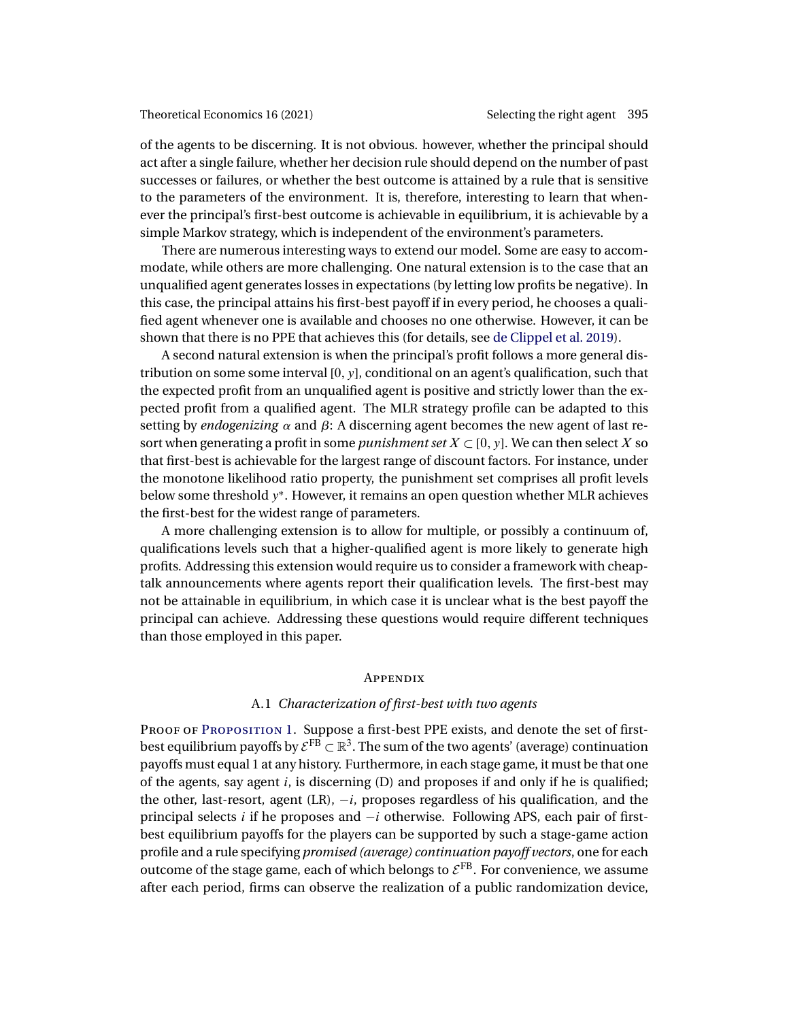<span id="page-14-0"></span>of the agents to be discerning. It is not obvious. however, whether the principal should act after a single failure, whether her decision rule should depend on the number of past successes or failures, or whether the best outcome is attained by a rule that is sensitive to the parameters of the environment. It is, therefore, interesting to learn that whenever the principal's first-best outcome is achievable in equilibrium, it is achievable by a simple Markov strategy, which is independent of the environment's parameters.

There are numerous interesting ways to extend our model. Some are easy to accommodate, while others are more challenging. One natural extension is to the case that an unqualified agent generates losses in expectations (by letting low profits be negative). In this case, the principal attains his first-best payoff if in every period, he chooses a qualified agent whenever one is available and chooses no one otherwise. However, it can be shown that there is no PPE that achieves this (for details, see [de Clippel et al. 2019\)](#page-20-0).

A second natural extension is when the principal's profit follows a more general distribution on some some interval  $[0, y]$ , conditional on an agent's qualification, such that the expected profit from an unqualified agent is positive and strictly lower than the expected profit from a qualified agent. The MLR strategy profile can be adapted to this setting by *endogenizing*  $\alpha$  and  $\beta$ : A discerning agent becomes the new agent of last resort when generating a profit in some *punishment set*  $X \subset [0, y]$ . We can then select X so that first-best is achievable for the largest range of discount factors. For instance, under the monotone likelihood ratio property, the punishment set comprises all profit levels below some threshold y∗. However, it remains an open question whether MLR achieves the first-best for the widest range of parameters.

A more challenging extension is to allow for multiple, or possibly a continuum of, qualifications levels such that a higher-qualified agent is more likely to generate high profits. Addressing this extension would require us to consider a framework with cheaptalk announcements where agents report their qualification levels. The first-best may not be attainable in equilibrium, in which case it is unclear what is the best payoff the principal can achieve. Addressing these questions would require different techniques than those employed in this paper.

### **APPENDIX**

# A.1 *Characterization of first-best with two agents*

PROOF OF PROPOSITION 1. Suppose a first-best PPE exists, and denote the set of firstbest equilibrium payoffs by  $\mathcal{E}^{FB} \subset \mathbb{R}^3$ . The sum of the two agents' (average) continuation payoffs must equal 1 at any history. Furthermore, in each stage game, it must be that one of the agents, say agent  $i$ , is discerning (D) and proposes if and only if he is qualified; the other, last-resort, agent  $(LR)$ ,  $-i$ , proposes regardless of his qualification, and the principal selects i if he proposes and  $-i$  otherwise. Following APS, each pair of firstbest equilibrium payoffs for the players can be supported by such a stage-game action profile and a rule specifying *promised (average) continuation payoff vectors*, one for each outcome of the stage game, each of which belongs to  $\mathcal{E}^{FB}$ . For convenience, we assume after each period, firms can observe the realization of a public randomization device,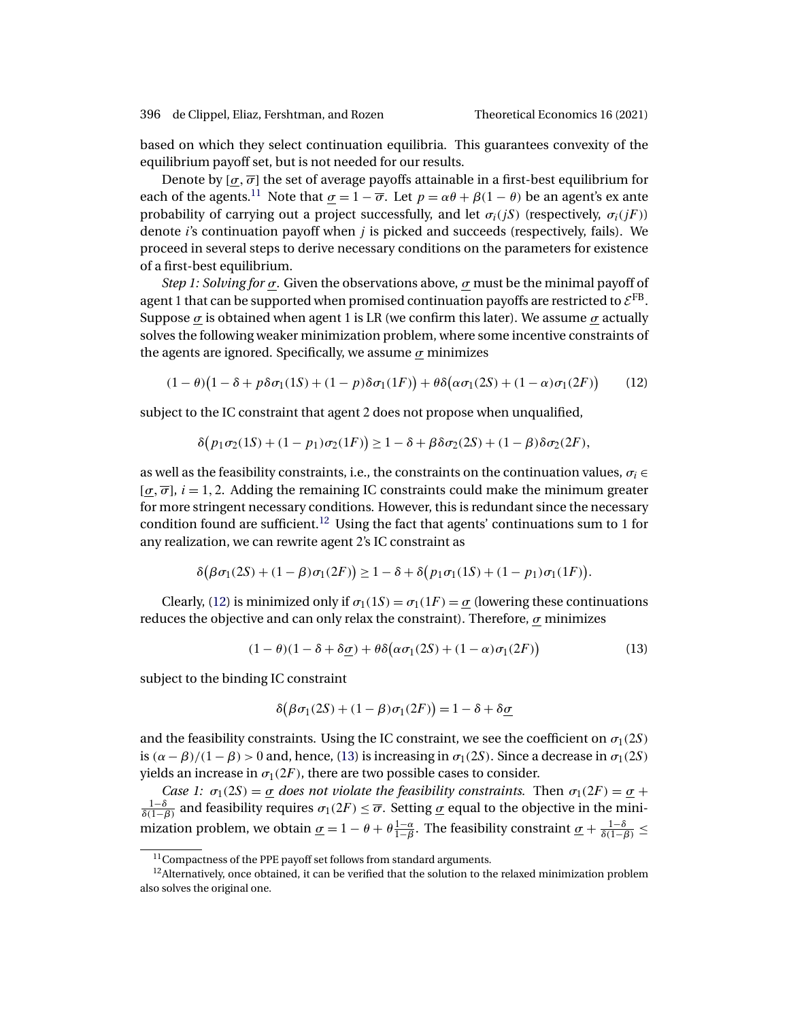based on which they select continuation equilibria. This guarantees convexity of the equilibrium payoff set, but is not needed for our results.

Denote by  $[\sigma, \overline{\sigma}]$  the set of average payoffs attainable in a first-best equilibrium for each of the agents.<sup>11</sup> Note that  $\sigma = 1 - \overline{\sigma}$ . Let  $p = \alpha \theta + \beta(1 - \theta)$  be an agent's ex ante probability of carrying out a project successfully, and let  $\sigma_i(iS)$  (respectively,  $\sigma_i(iF)$ ) denote  $i$ 's continuation payoff when  $j$  is picked and succeeds (respectively, fails). We proceed in several steps to derive necessary conditions on the parameters for existence of a first-best equilibrium.

*Step 1: Solving for*  $\sigma$ . Given the observations above,  $\sigma$  must be the minimal payoff of agent 1 that can be supported when promised continuation payoffs are restricted to  $\mathcal{E}^{FB}$ . Suppose  $\sigma$  is obtained when agent 1 is LR (we confirm this later). We assume  $\sigma$  actually solves the following weaker minimization problem, where some incentive constraints of the agents are ignored. Specifically, we assume  $\sigma$  minimizes

$$
(1 - \theta)\big(1 - \delta + p\delta\sigma_1(1S) + (1 - p)\delta\sigma_1(1F)\big) + \theta\delta\big(\alpha\sigma_1(2S) + (1 - \alpha)\sigma_1(2F)\big) \tag{12}
$$

subject to the IC constraint that agent 2 does not propose when unqualified,

$$
\delta\big(p_1\sigma_2(1S) + (1-p_1)\sigma_2(1F)\big) \ge 1 - \delta + \beta\delta\sigma_2(2S) + (1-\beta)\delta\sigma_2(2F),
$$

as well as the feasibility constraints, i.e., the constraints on the continuation values,  $\sigma_i \in$  $[\sigma, \overline{\sigma}]$ ,  $i = 1, 2$ . Adding the remaining IC constraints could make the minimum greater for more stringent necessary conditions. However, this is redundant since the necessary condition found are sufficient.<sup>12</sup> Using the fact that agents' continuations sum to 1 for any realization, we can rewrite agent 2's IC constraint as

$$
\delta\big(\beta\sigma_1(2S) + (1-\beta)\sigma_1(2F)\big) \ge 1 - \delta + \delta\big(p_1\sigma_1(1S) + (1-p_1)\sigma_1(1F)\big).
$$

Clearly, (12) is minimized only if  $\sigma_1(1S) = \sigma_1(1F) = \sigma$  (lowering these continuations reduces the objective and can only relax the constraint). Therefore,  $\sigma$  minimizes

$$
(1 - \theta)(1 - \delta + \delta \underline{\sigma}) + \theta \delta(\alpha \sigma_1(2S) + (1 - \alpha)\sigma_1(2F))
$$
\n(13)

subject to the binding IC constraint

$$
\delta(\beta\sigma_1(2S) + (1 - \beta)\sigma_1(2F)) = 1 - \delta + \delta\underline{\sigma}
$$

and the feasibility constraints. Using the IC constraint, we see the coefficient on  $\sigma_1(2S)$ is  $(\alpha - \beta)/(1 - \beta) > 0$  and, hence, (13) is increasing in  $\sigma_1(2S)$ . Since a decrease in  $\sigma_1(2S)$ yields an increase in  $\sigma_1(2F)$ , there are two possible cases to consider.

*Case 1:*  $\sigma_1(2S) = \sigma$  *does not violate the feasibility constraints.* Then  $\sigma_1(2F) = \sigma$  +  $\frac{1-\delta}{\delta(1-\beta)}$  and feasibility requires  $\sigma_1(2F)\leq \overline{\sigma}.$  Setting <u> $\sigma$ </u> equal to the objective in the minimization problem, we obtain  $\underline{\sigma} = 1 - \theta + \theta \frac{1-\alpha}{1-\beta}$ . The feasibility constraint  $\underline{\sigma} + \frac{1-\delta}{\delta(1-\beta)} \leq$ 

<sup>&</sup>lt;sup>11</sup> Compactness of the PPE payoff set follows from standard arguments.

 $12$ Alternatively, once obtained, it can be verified that the solution to the relaxed minimization problem also solves the original one.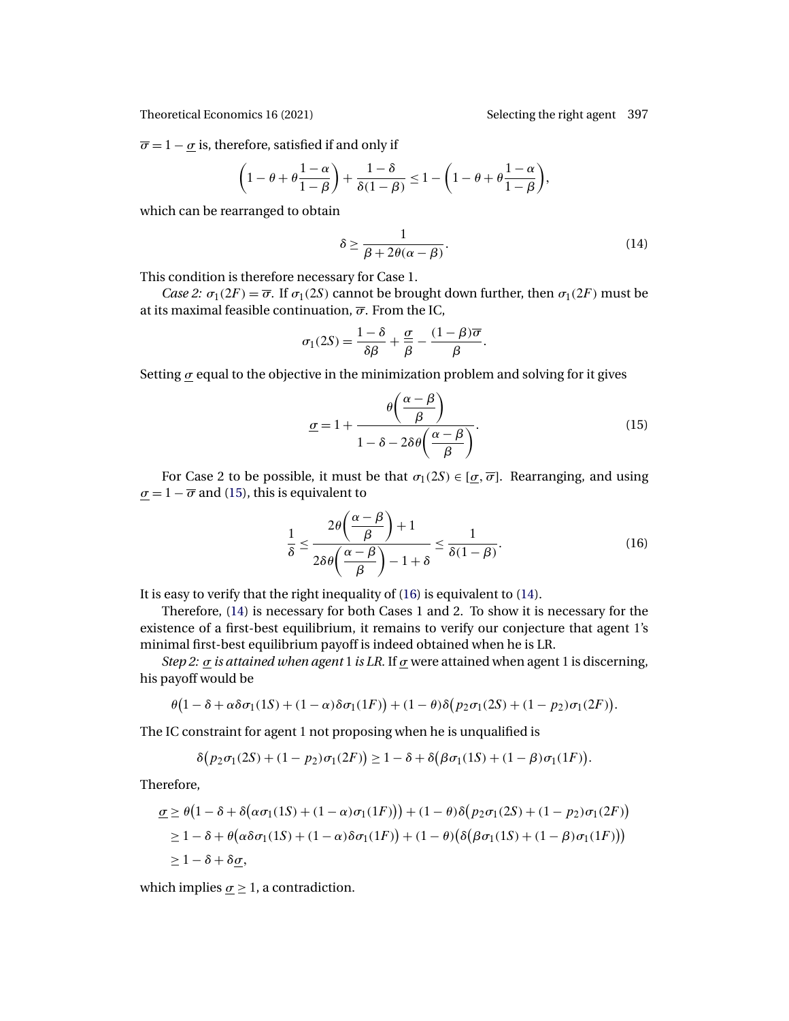<span id="page-16-0"></span> $\overline{\sigma} = 1 - \underline{\sigma}$  is, therefore, satisfied if and only if

$$
\left(1-\theta+\theta\frac{1-\alpha}{1-\beta}\right)+\frac{1-\delta}{\delta(1-\beta)}\leq 1-\left(1-\theta+\theta\frac{1-\alpha}{1-\beta}\right),\,
$$

which can be rearranged to obtain

$$
\delta \ge \frac{1}{\beta + 2\theta(\alpha - \beta)}.\tag{14}
$$

This condition is therefore necessary for Case 1.

*Case 2:*  $\sigma_1(2F) = \overline{\sigma}$ . If  $\sigma_1(2S)$  cannot be brought down further, then  $\sigma_1(2F)$  must be at its maximal feasible continuation,  $\overline{\sigma}$ . From the IC,

$$
\sigma_1(2S) = \frac{1-\delta}{\delta \beta} + \frac{\sigma}{\beta} - \frac{(1-\beta)\overline{\sigma}}{\beta}.
$$

Setting  $\sigma$  equal to the objective in the minimization problem and solving for it gives

$$
\underline{\sigma} = 1 + \frac{\theta\left(\frac{\alpha - \beta}{\beta}\right)}{1 - \delta - 2\delta\theta\left(\frac{\alpha - \beta}{\beta}\right)}.
$$
\n(15)

For Case 2 to be possible, it must be that  $\sigma_1(2S) \in [\sigma, \overline{\sigma}]$ . Rearranging, and using  $\sigma = 1 - \overline{\sigma}$  and (15), this is equivalent to

$$
\frac{1}{\delta} \le \frac{2\theta\left(\frac{\alpha-\beta}{\beta}\right)+1}{2\delta\theta\left(\frac{\alpha-\beta}{\beta}\right)-1+\delta} \le \frac{1}{\delta(1-\beta)}.
$$
\n(16)

It is easy to verify that the right inequality of (16) is equivalent to (14).

Therefore, (14) is necessary for both Cases 1 and 2. To show it is necessary for the existence of a first-best equilibrium, it remains to verify our conjecture that agent 1's minimal first-best equilibrium payoff is indeed obtained when he is LR.

*Step 2:*  $\sigma$  *is attained when agent* 1 *is LR.* If  $\sigma$  were attained when agent 1 is discerning, his payoff would be

$$
\theta(1-\delta+\alpha\delta\sigma_1(1S)+(1-\alpha)\delta\sigma_1(1F))+(1-\theta)\delta(p_2\sigma_1(2S)+(1-p_2)\sigma_1(2F)).
$$

The IC constraint for agent 1 not proposing when he is unqualified is

$$
\delta\big(p_2\sigma_1(2S) + (1-p_2)\sigma_1(2F)\big) \ge 1 - \delta + \delta\big(\beta\sigma_1(1S) + (1-\beta)\sigma_1(1F)\big).
$$

Therefore,

$$
\underline{\sigma} \geq \theta \big( 1 - \delta + \delta \big( \alpha \sigma_1(1S) + (1 - \alpha) \sigma_1(1F) \big) \big) + (1 - \theta) \delta \big( p_2 \sigma_1(2S) + (1 - p_2) \sigma_1(2F) \big)
$$
  
\n
$$
\geq 1 - \delta + \theta \big( \alpha \delta \sigma_1(1S) + (1 - \alpha) \delta \sigma_1(1F) \big) + (1 - \theta) \big( \delta \big( \beta \sigma_1(1S) + (1 - \beta) \sigma_1(1F) \big) \big)
$$
  
\n
$$
\geq 1 - \delta + \delta \underline{\sigma},
$$

which implies  $\sigma \geq 1$ , a contradiction.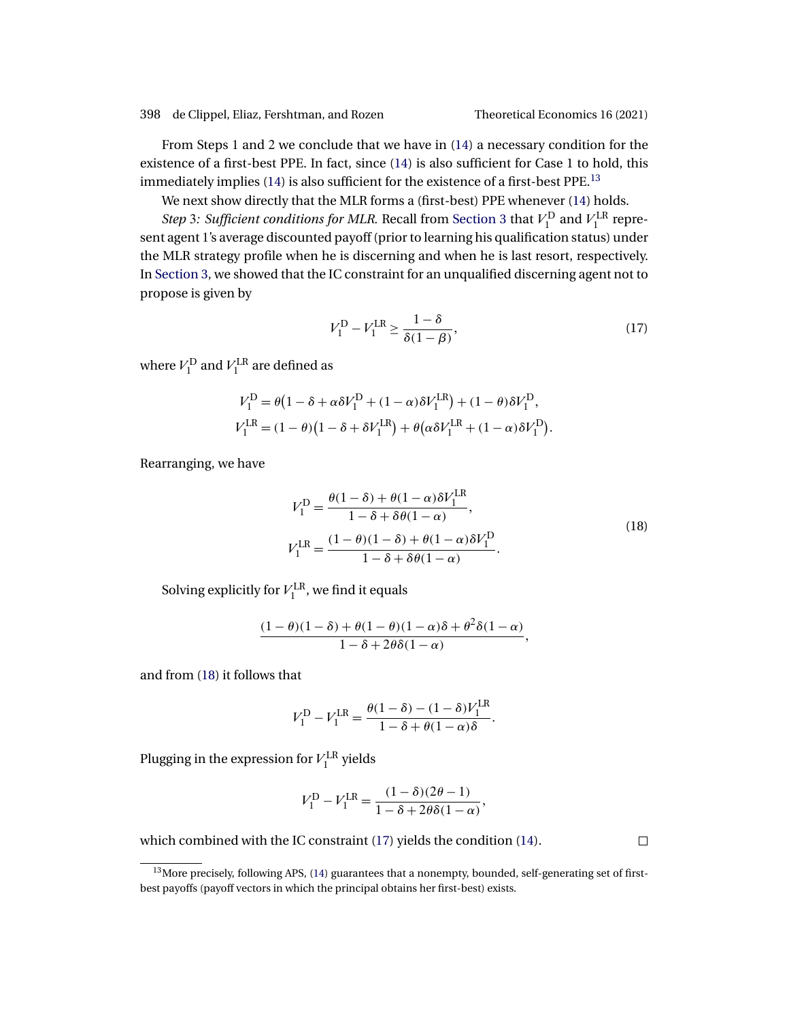398 de Clippel, Eliaz, Fershtman, and Rozen Theoretical Economics 16 (2021)

From Steps 1 and 2 we conclude that we have in [\(14\)](#page-16-0) a necessary condition for the existence of a first-best PPE. In fact, since [\(14\)](#page-16-0) is also sufficient for Case 1 to hold, this immediately implies  $(14)$  is also sufficient for the existence of a first-best PPE.<sup>13</sup>

We next show directly that the MLR forms a (first-best) PPE whenever [\(14\)](#page-16-0) holds.

*Step* 3: *Sufficient conditions for MLR*. Recall from [Section 3](#page-4-0) that  $V_1^D$  and  $V_1^{LR}$  represent agent 1's average discounted payoff (prior to learning his qualification status) under the MLR strategy profile when he is discerning and when he is last resort, respectively. In [Section 3,](#page-4-0) we showed that the IC constraint for an unqualified discerning agent not to propose is given by

$$
V_1^{\mathcal{D}} - V_1^{\mathcal{LR}} \ge \frac{1 - \delta}{\delta(1 - \beta)},\tag{17}
$$

where  $V_1^{\text{D}}$  and  $V_1^{\text{LR}}$  are defined as

$$
V_1^{\text{D}} = \theta \left( 1 - \delta + \alpha \delta V_1^{\text{D}} + (1 - \alpha) \delta V_1^{\text{LR}} \right) + (1 - \theta) \delta V_1^{\text{D}},
$$
  
\n
$$
V_1^{\text{LR}} = (1 - \theta) \left( 1 - \delta + \delta V_1^{\text{LR}} \right) + \theta \left( \alpha \delta V_1^{\text{LR}} + (1 - \alpha) \delta V_1^{\text{D}} \right).
$$

Rearranging, we have

$$
V_1^{\mathcal{D}} = \frac{\theta(1-\delta) + \theta(1-\alpha)\delta V_1^{\mathcal{L}\mathcal{R}}}{1-\delta+\delta\theta(1-\alpha)},
$$
  
\n
$$
V_1^{\mathcal{L}\mathcal{R}} = \frac{(1-\theta)(1-\delta) + \theta(1-\alpha)\delta V_1^{\mathcal{D}}}{1-\delta+\delta\theta(1-\alpha)}.
$$
\n(18)

Solving explicitly for  $V_1^{\text{LR}}$ , we find it equals

$$
\frac{(1-\theta)(1-\delta)+\theta(1-\theta)(1-\alpha)\delta+\theta^2\delta(1-\alpha)}{1-\delta+2\theta\delta(1-\alpha)},
$$

and from (18) it follows that

$$
V_1^{\rm D} - V_1^{\rm LR} = \frac{\theta(1 - \delta) - (1 - \delta)V_1^{\rm LR}}{1 - \delta + \theta(1 - \alpha)\delta}.
$$

Plugging in the expression for  $V_1^{\text{LR}}$  yields

$$
V_1^{\rm D} - V_1^{\rm LR} = \frac{(1 - \delta)(2\theta - 1)}{1 - \delta + 2\theta\delta(1 - \alpha)},
$$

which combined with the IC constraint (17) yields the condition [\(14\)](#page-16-0).

 $\Box$ 

<sup>&</sup>lt;sup>13</sup>More precisely, following APS, [\(14\)](#page-16-0) guarantees that a nonempty, bounded, self-generating set of firstbest payoffs (payoff vectors in which the principal obtains her first-best) exists.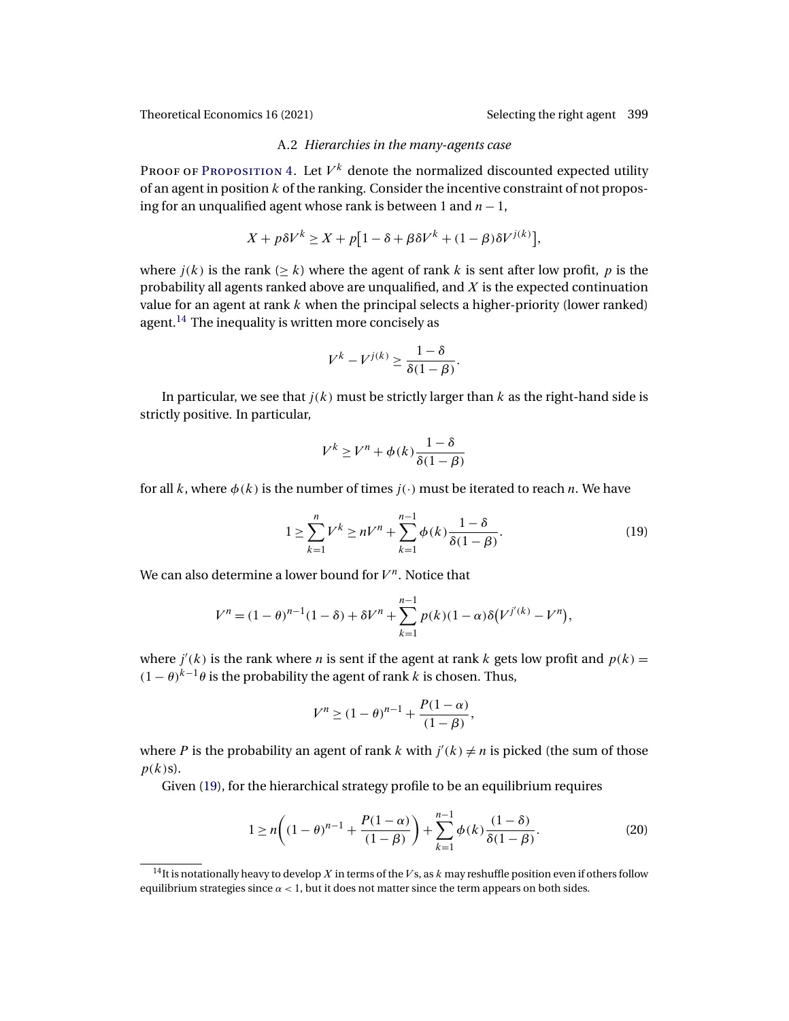# A.2 *Hierarchies in the many-agents case*

<span id="page-18-0"></span>PROOF OF PROPOSITION 4. Let  $V^k$  denote the normalized discounted expected utility of an agent in position  $k$  of the ranking. Consider the incentive constraint of not proposing for an unqualified agent whose rank is between 1 and  $n - 1$ ,

$$
X + p\delta V^k \ge X + p\left[1 - \delta + \beta \delta V^k + (1 - \beta)\delta V^{j(k)}\right],
$$

where  $j(k)$  is the rank ( $\geq k$ ) where the agent of rank k is sent after low profit, p is the probability all agents ranked above are unqualified, and  $X$  is the expected continuation value for an agent at rank  $k$  when the principal selects a higher-priority (lower ranked) agent.<sup>14</sup> The inequality is written more concisely as

$$
V^k - V^{j(k)} \ge \frac{1 - \delta}{\delta(1 - \beta)}.
$$

In particular, we see that  $j(k)$  must be strictly larger than k as the right-hand side is strictly positive. In particular,

$$
V^k \ge V^n + \phi(k) \frac{1 - \delta}{\delta(1 - \beta)}
$$

for all k, where  $\phi(k)$  is the number of times  $j(\cdot)$  must be iterated to reach n. We have

$$
1 \ge \sum_{k=1}^{n} V^{k} \ge nV^{n} + \sum_{k=1}^{n-1} \phi(k) \frac{1-\delta}{\delta(1-\beta)}.
$$
 (19)

We can also determine a lower bound for  $V^n$ . Notice that

$$
V^{n} = (1 - \theta)^{n-1} (1 - \delta) + \delta V^{n} + \sum_{k=1}^{n-1} p(k) (1 - \alpha) \delta (V^{j'(k)} - V^{n}),
$$

where  $j'(k)$  is the rank where *n* is sent if the agent at rank *k* gets low profit and  $p(k) =$  $(1 - \theta)^{k-1}$  θ is the probability the agent of rank k is chosen. Thus,

$$
V^{n} \ge (1 - \theta)^{n-1} + \frac{P(1 - \alpha)}{(1 - \beta)},
$$

where P is the probability an agent of rank k with  $j'(k) \neq n$  is picked (the sum of those  $p(k)$ s).

Given (19), for the hierarchical strategy profile to be an equilibrium requires

$$
1 \ge n \left( (1 - \theta)^{n-1} + \frac{P(1 - \alpha)}{(1 - \beta)} \right) + \sum_{k=1}^{n-1} \phi(k) \frac{(1 - \delta)}{\delta(1 - \beta)}.
$$
 (20)

<sup>&</sup>lt;sup>14</sup>It is notationally heavy to develop X in terms of the V<sub>s</sub>, as k may reshuffle position even if others follow equilibrium strategies since  $\alpha$  < 1, but it does not matter since the term appears on both sides.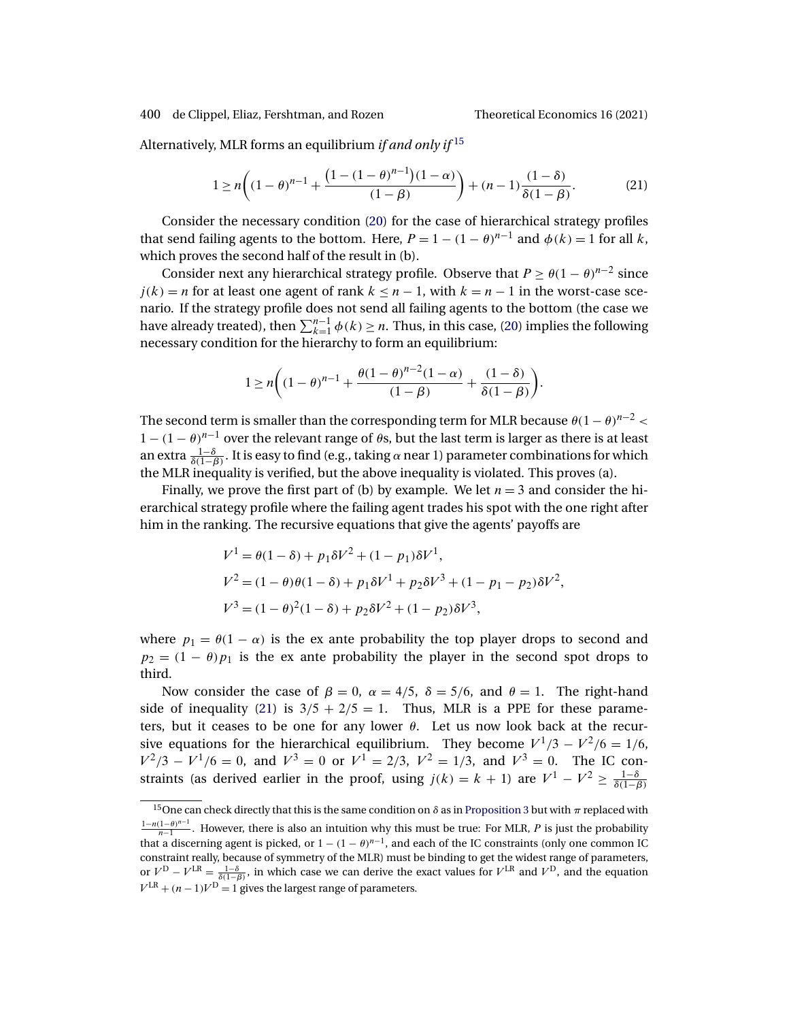Alternatively, MLR forms an equilibrium *if and only if* <sup>15</sup>

$$
1 \ge n \bigg( (1 - \theta)^{n-1} + \frac{\left( 1 - (1 - \theta)^{n-1} \right) (1 - \alpha)}{(1 - \beta)} \bigg) + (n - 1) \frac{(1 - \delta)}{\delta (1 - \beta)}.
$$
 (21)

Consider the necessary condition [\(20\)](#page-18-0) for the case of hierarchical strategy profiles that send failing agents to the bottom. Here,  $P = 1 - (1 - \theta)^{n-1}$  and  $\phi(k) = 1$  for all k, which proves the second half of the result in (b).

Consider next any hierarchical strategy profile. Observe that  $P \ge \theta(1-\theta)^{n-2}$  since  $j(k) = n$  for at least one agent of rank  $k \leq n-1$ , with  $k = n-1$  in the worst-case scenario. If the strategy profile does not send all failing agents to the bottom (the case we have already treated), then  $\sum_{k=1}^{n-1} \phi(k) \ge n$ . Thus, in this case, [\(20\)](#page-18-0) implies the following necessary condition for the hierarchy to form an equilibrium:

$$
1 \ge n \bigg( (1 - \theta)^{n-1} + \frac{\theta (1 - \theta)^{n-2} (1 - \alpha)}{(1 - \beta)} + \frac{(1 - \delta)}{\delta (1 - \beta)} \bigg).
$$

The second term is smaller than the corresponding term for MLR because  $\theta(1-\theta)^{n-2}$  $1 - (1 - \theta)^{n-1}$  over the relevant range of  $\theta$ s, but the last term is larger as there is at least an extra  $\frac{1-\delta}{\delta(1-\beta)}$ . It is easy to find (e.g., taking  $\alpha$  near 1) parameter combinations for which the MLR inequality is verified, but the above inequality is violated. This proves (a).

Finally, we prove the first part of (b) by example. We let  $n = 3$  and consider the hierarchical strategy profile where the failing agent trades his spot with the one right after him in the ranking. The recursive equations that give the agents' payoffs are

$$
V^{1} = \theta(1 - \delta) + p_{1}\delta V^{2} + (1 - p_{1})\delta V^{1},
$$
  
\n
$$
V^{2} = (1 - \theta)\theta(1 - \delta) + p_{1}\delta V^{1} + p_{2}\delta V^{3} + (1 - p_{1} - p_{2})\delta V^{2},
$$
  
\n
$$
V^{3} = (1 - \theta)^{2}(1 - \delta) + p_{2}\delta V^{2} + (1 - p_{2})\delta V^{3},
$$

where  $p_1 = \theta(1 - \alpha)$  is the ex ante probability the top player drops to second and  $p_2 = (1 - \theta)p_1$  is the ex ante probability the player in the second spot drops to third.

Now consider the case of  $\beta = 0$ ,  $\alpha = 4/5$ ,  $\delta = 5/6$ , and  $\theta = 1$ . The right-hand side of inequality (21) is  $3/5 + 2/5 = 1$ . Thus, MLR is a PPE for these parameters, but it ceases to be one for any lower  $\theta$ . Let us now look back at the recursive equations for the hierarchical equilibrium. They become  $V^1/3 - V^2/6 = 1/6$ ,  $V^2/3 - V^1/6 = 0$ , and  $V^3 = 0$  or  $V^1 = 2/3$ ,  $V^2 = 1/3$ , and  $V^3 = 0$ . The IC constraints (as derived earlier in the proof, using  $j(k) = k + 1$ ) are  $V^1 - V^2 \ge \frac{1-\delta}{\delta(1-\beta)}$ 

 $15$ One can check directly that this is the same condition on δ as in [Proposition 3](#page-9-0) but with π replaced with  $\frac{1-n(1-\theta)^{n-1}}{n-1}$ . However, there is also an intuition why this must be true: For MLR, P is just the probability that a discerning agent is picked, or  $1 - (1 - \theta)^{n-1}$ , and each of the IC constraints (only one common IC constraint really, because of symmetry of the MLR) must be binding to get the widest range of parameters, or  $V^D - V^{LR} = \frac{1-\delta}{\delta(1-\beta)}$ , in which case we can derive the exact values for  $V^{LR}$  and  $V^D$ , and the equation  $V<sup>LR</sup> + (n-1)V<sup>D</sup> = 1$  gives the largest range of parameters.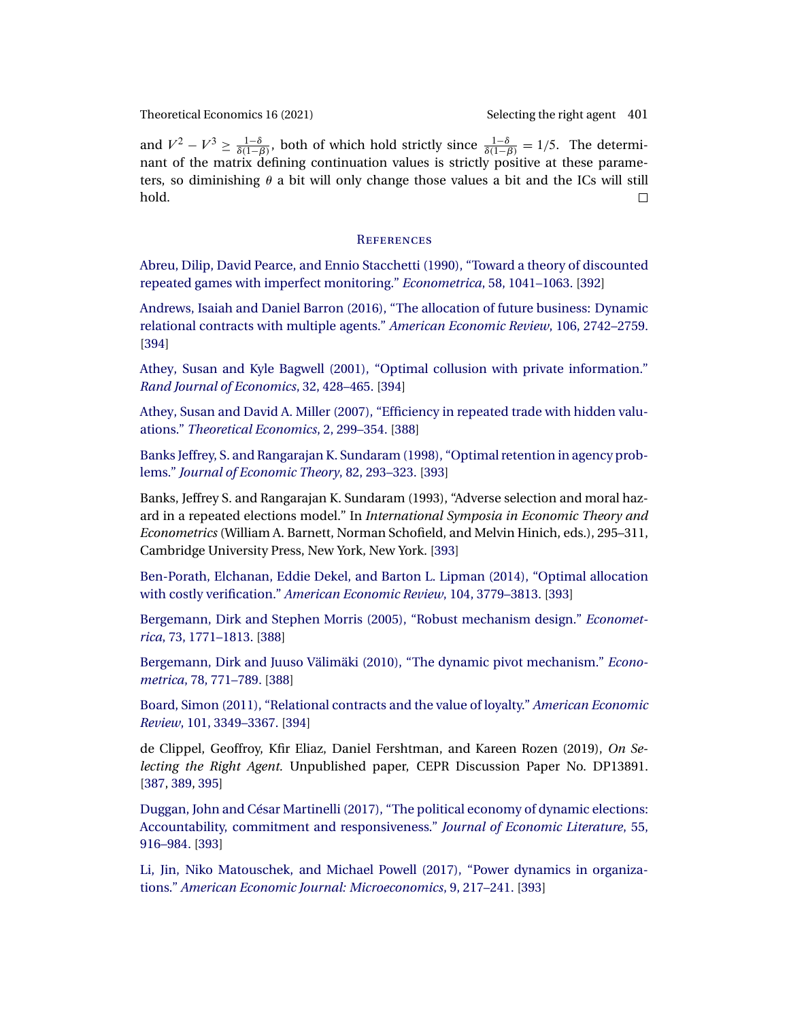<span id="page-20-0"></span>and  $V^2 - V^3 \ge \frac{1-\delta}{\delta(1-\beta)}$ , both of which hold strictly since  $\frac{1-\delta}{\delta(1-\beta)} = 1/5$ . The determinant of the matrix defining continuation values is strictly positive at these parameters, so diminishing  $\theta$  a bit will only change those values a bit and the ICs will still hold.  $\Box$ 

### **REFERENCES**

[Abreu, Dilip, David Pearce, and Ennio Stacchetti \(1990\), "Toward a theory of discounted](http://www.e-publications.org/srv/te/linkserver/openurl?rft_dat=bib:1/AbPeSt90&rfe_id=urn:sici%2F1933-6837%282021%2916%3A2%3C381%3AOSTRA%3E2.0.CO%3B2-F) [repeated games with imperfect monitoring."](http://www.e-publications.org/srv/te/linkserver/openurl?rft_dat=bib:1/AbPeSt90&rfe_id=urn:sici%2F1933-6837%282021%2916%3A2%3C381%3AOSTRA%3E2.0.CO%3B2-F) *Econometrica*, 58, 1041–1063. [\[392\]](#page-11-0)

[Andrews, Isaiah and Daniel Barron \(2016\), "The allocation of future business: Dynamic](http://www.e-publications.org/srv/te/linkserver/openurl?rft_dat=bib:2/anba16&rfe_id=urn:sici%2F1933-6837%282021%2916%3A2%3C381%3AOSTRA%3E2.0.CO%3B2-F) [relational contracts with multiple agents."](http://www.e-publications.org/srv/te/linkserver/openurl?rft_dat=bib:2/anba16&rfe_id=urn:sici%2F1933-6837%282021%2916%3A2%3C381%3AOSTRA%3E2.0.CO%3B2-F) *American Economic Review*, 106, 2742–2759. [\[394\]](#page-13-0)

[Athey, Susan and Kyle Bagwell \(2001\), "Optimal collusion with private information."](http://www.e-publications.org/srv/te/linkserver/openurl?rft_dat=bib:3/atba01&rfe_id=urn:sici%2F1933-6837%282021%2916%3A2%3C381%3AOSTRA%3E2.0.CO%3B2-F) *[Rand Journal of Economics](http://www.e-publications.org/srv/te/linkserver/openurl?rft_dat=bib:3/atba01&rfe_id=urn:sici%2F1933-6837%282021%2916%3A2%3C381%3AOSTRA%3E2.0.CO%3B2-F)*, 32, 428–465. [\[394\]](#page-13-0)

[Athey, Susan and David A. Miller \(2007\), "Efficiency in repeated trade with hidden valu](http://www.e-publications.org/srv/te/linkserver/openurl?rft_dat=bib:4/atmi07&rfe_id=urn:sici%2F1933-6837%282021%2916%3A2%3C381%3AOSTRA%3E2.0.CO%3B2-F)ations." *[Theoretical Economics](http://www.e-publications.org/srv/te/linkserver/openurl?rft_dat=bib:4/atmi07&rfe_id=urn:sici%2F1933-6837%282021%2916%3A2%3C381%3AOSTRA%3E2.0.CO%3B2-F)*, 2, 299–354. [\[388\]](#page-7-0)

[Banks Jeffrey, S. and Rangarajan K. Sundaram \(1998\), "Optimal retention in agency prob](http://www.e-publications.org/srv/te/linkserver/openurl?rft_dat=bib:5/BaSu98&rfe_id=urn:sici%2F1933-6837%282021%2916%3A2%3C381%3AOSTRA%3E2.0.CO%3B2-F)lems." *[Journal of Economic Theory](http://www.e-publications.org/srv/te/linkserver/openurl?rft_dat=bib:5/BaSu98&rfe_id=urn:sici%2F1933-6837%282021%2916%3A2%3C381%3AOSTRA%3E2.0.CO%3B2-F)*, 82, 293–323. [\[393\]](#page-12-0)

Banks, Jeffrey S. and Rangarajan K. Sundaram (1993), "Adverse selection and moral hazard in a repeated elections model." In *International Symposia in Economic Theory and Econometrics* (William A. Barnett, Norman Schofield, and Melvin Hinich, eds.), 295–311, Cambridge University Press, New York, New York. [\[393\]](#page-12-0)

[Ben-Porath, Elchanan, Eddie Dekel, and Barton L. Lipman \(2014\), "Optimal allocation](http://www.e-publications.org/srv/te/linkserver/openurl?rft_dat=bib:7/BeDeLi14&rfe_id=urn:sici%2F1933-6837%282021%2916%3A2%3C381%3AOSTRA%3E2.0.CO%3B2-F) with costly verification." *[American Economic Review](http://www.e-publications.org/srv/te/linkserver/openurl?rft_dat=bib:7/BeDeLi14&rfe_id=urn:sici%2F1933-6837%282021%2916%3A2%3C381%3AOSTRA%3E2.0.CO%3B2-F)*, 104, 3779–3813. [\[393\]](#page-12-0)

[Bergemann, Dirk and Stephen Morris \(2005\), "Robust mechanism design."](http://www.e-publications.org/srv/te/linkserver/openurl?rft_dat=bib:8/bemo05&rfe_id=urn:sici%2F1933-6837%282021%2916%3A2%3C381%3AOSTRA%3E2.0.CO%3B2-F) *Econometrica*[, 73, 1771–1813.](http://www.e-publications.org/srv/te/linkserver/openurl?rft_dat=bib:8/bemo05&rfe_id=urn:sici%2F1933-6837%282021%2916%3A2%3C381%3AOSTRA%3E2.0.CO%3B2-F) [\[388\]](#page-7-0)

[Bergemann, Dirk and Juuso Välimäki \(2010\), "The dynamic pivot mechanism."](http://www.e-publications.org/srv/te/linkserver/openurl?rft_dat=bib:9/BeVa10&rfe_id=urn:sici%2F1933-6837%282021%2916%3A2%3C381%3AOSTRA%3E2.0.CO%3B2-F) *Econometrica*[, 78, 771–789.](http://www.e-publications.org/srv/te/linkserver/openurl?rft_dat=bib:9/BeVa10&rfe_id=urn:sici%2F1933-6837%282021%2916%3A2%3C381%3AOSTRA%3E2.0.CO%3B2-F) [\[388\]](#page-7-0)

[Board, Simon \(2011\), "Relational contracts and the value of loyalty."](http://www.e-publications.org/srv/te/linkserver/openurl?rft_dat=bib:10/bo11&rfe_id=urn:sici%2F1933-6837%282021%2916%3A2%3C381%3AOSTRA%3E2.0.CO%3B2-F) *American Economic Review*[, 101, 3349–3367.](http://www.e-publications.org/srv/te/linkserver/openurl?rft_dat=bib:10/bo11&rfe_id=urn:sici%2F1933-6837%282021%2916%3A2%3C381%3AOSTRA%3E2.0.CO%3B2-F) [\[394\]](#page-13-0)

de Clippel, Geoffroy, Kfir Eliaz, Daniel Fershtman, and Kareen Rozen (2019), *On Selecting the Right Agent.* Unpublished paper, CEPR Discussion Paper No. DP13891. [\[387,](#page-6-0) [389,](#page-8-0) [395\]](#page-14-0)

[Duggan, John and César Martinelli \(2017\), "The political economy of dynamic elections:](http://www.e-publications.org/srv/te/linkserver/openurl?rft_dat=bib:12/duma17&rfe_id=urn:sici%2F1933-6837%282021%2916%3A2%3C381%3AOSTRA%3E2.0.CO%3B2-F) [Accountability, commitment and responsiveness."](http://www.e-publications.org/srv/te/linkserver/openurl?rft_dat=bib:12/duma17&rfe_id=urn:sici%2F1933-6837%282021%2916%3A2%3C381%3AOSTRA%3E2.0.CO%3B2-F) *Journal of Economic Literature*, 55, [916–984.](http://www.e-publications.org/srv/te/linkserver/openurl?rft_dat=bib:12/duma17&rfe_id=urn:sici%2F1933-6837%282021%2916%3A2%3C381%3AOSTRA%3E2.0.CO%3B2-F) [\[393\]](#page-12-0)

[Li, Jin, Niko Matouschek, and Michael Powell \(2017\), "Power dynamics in organiza](http://www.e-publications.org/srv/te/linkserver/openurl?rft_dat=bib:13/LiMaPo17&rfe_id=urn:sici%2F1933-6837%282021%2916%3A2%3C381%3AOSTRA%3E2.0.CO%3B2-F)tions." *[American Economic Journal: Microeconomics](http://www.e-publications.org/srv/te/linkserver/openurl?rft_dat=bib:13/LiMaPo17&rfe_id=urn:sici%2F1933-6837%282021%2916%3A2%3C381%3AOSTRA%3E2.0.CO%3B2-F)*, 9, 217–241. [\[393\]](#page-12-0)